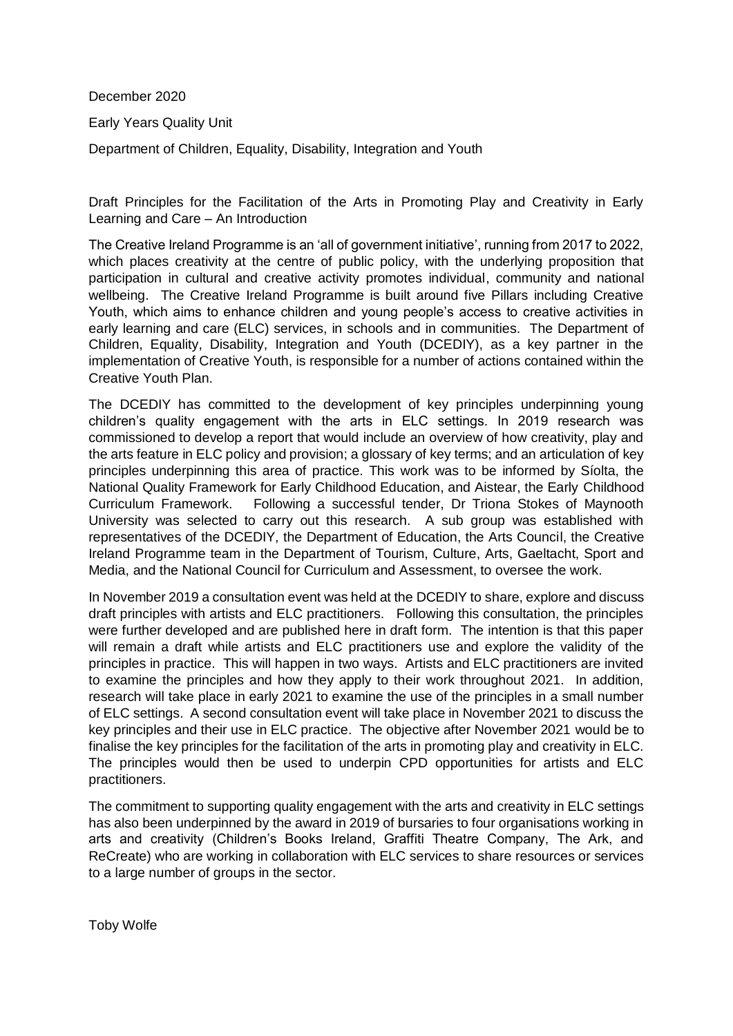December 2020

Early Years Quality Unit

Department of Children, Equality, Disability, Integration and Youth

Draft Principles for the Facilitation of the Arts in Promoting Play and Creativity in Early Learning and Care – An Introduction

The Creative Ireland Programme is an 'all of government initiative', running from 2017 to 2022, which places creativity at the centre of public policy, with the underlying proposition that participation in cultural and creative activity promotes individual, community and national wellbeing. The Creative Ireland Programme is built around five Pillars including Creative Youth, which aims to enhance children and young people's access to creative activities in early learning and care (ELC) services, in schools and in communities. The Department of Children, Equality, Disability, Integration and Youth (DCEDIY), as a key partner in the implementation of Creative Youth, is responsible for a number of actions contained within the Creative Youth Plan.

The DCEDIY has committed to the development of key principles underpinning young children's quality engagement with the arts in ELC settings. In 2019 research was commissioned to develop a report that would include an overview of how creativity, play and the arts feature in ELC policy and provision; a glossary of key terms; and an articulation of key principles underpinning this area of practice. This work was to be informed by Síolta, the National Quality Framework for Early Childhood Education, and Aistear, the Early Childhood Curriculum Framework. Following a successful tender, Dr Triona Stokes of Maynooth University was selected to carry out this research. A sub group was established with representatives of the DCEDIY, the Department of Education, the Arts Council, the Creative Ireland Programme team in the Department of Tourism, Culture, Arts, Gaeltacht, Sport and Media, and the National Council for Curriculum and Assessment, to oversee the work.

In November 2019 a consultation event was held at the DCEDIY to share, explore and discuss draft principles with artists and ELC practitioners. Following this consultation, the principles were further developed and are published here in draft form. The intention is that this paper will remain a draft while artists and ELC practitioners use and explore the validity of the principles in practice. This will happen in two ways. Artists and ELC practitioners are invited to examine the principles and how they apply to their work throughout 2021. In addition, research will take place in early 2021 to examine the use of the principles in a small number of ELC settings. A second consultation event will take place in November 2021 to discuss the key principles and their use in ELC practice. The objective after November 2021 would be to finalise the key principles for the facilitation of the arts in promoting play and creativity in ELC. The principles would then be used to underpin CPD opportunities for artists and ELC practitioners.

The commitment to supporting quality engagement with the arts and creativity in ELC settings has also been underpinned by the award in 2019 of bursaries to four organisations working in arts and creativity (Children's Books Ireland, Graffiti Theatre Company, The Ark, and ReCreate) who are working in collaboration with ELC services to share resources or services to a large number of groups in the sector.

Toby Wolfe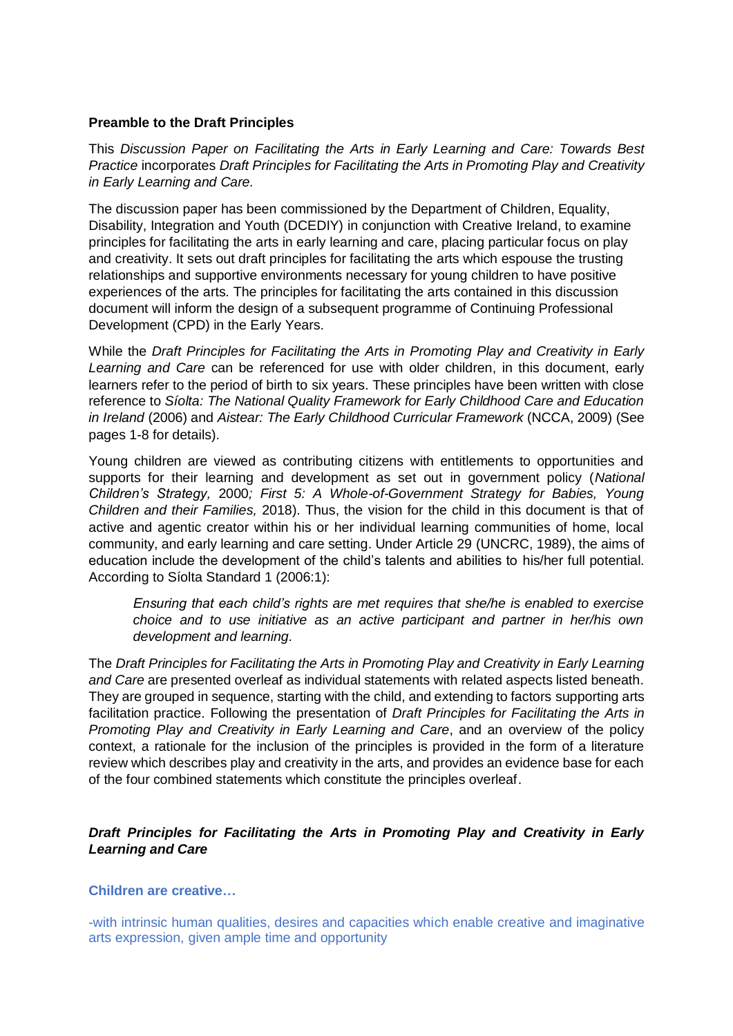## **Preamble to the Draft Principles**

This *Discussion Paper on Facilitating the Arts in Early Learning and Care: Towards Best Practice* incorporates *Draft Principles for Facilitating the Arts in Promoting Play and Creativity in Early Learning and Care.*

The discussion paper has been commissioned by the Department of Children, Equality, Disability, Integration and Youth (DCEDIY) in conjunction with Creative Ireland, to examine principles for facilitating the arts in early learning and care, placing particular focus on play and creativity. It sets out draft principles for facilitating the arts which espouse the trusting relationships and supportive environments necessary for young children to have positive experiences of the arts. The principles for facilitating the arts contained in this discussion document will inform the design of a subsequent programme of Continuing Professional Development (CPD) in the Early Years.

While the *Draft Principles for Facilitating the Arts in Promoting Play and Creativity in Early Learning and Care* can be referenced for use with older children, in this document, early learners refer to the period of birth to six years. These principles have been written with close reference to *Síolta: The National Quality Framework for Early Childhood Care and Education in Ireland* (2006) and *Aistear: The Early Childhood Curricular Framework* (NCCA, 2009) (See pages 1-8 for details).

Young children are viewed as contributing citizens with entitlements to opportunities and supports for their learning and development as set out in government policy (*National Children's Strategy,* 2000*; First 5: A Whole-of-Government Strategy for Babies, Young Children and their Families,* 2018). Thus, the vision for the child in this document is that of active and agentic creator within his or her individual learning communities of home, local community, and early learning and care setting. Under Article 29 (UNCRC, 1989), the aims of education include the development of the child's talents and abilities to his/her full potential. According to Síolta Standard 1 (2006:1):

*Ensuring that each child's rights are met requires that she/he is enabled to exercise choice and to use initiative as an active participant and partner in her/his own development and learning.*

The *Draft Principles for Facilitating the Arts in Promoting Play and Creativity in Early Learning and Care* are presented overleaf as individual statements with related aspects listed beneath. They are grouped in sequence, starting with the child, and extending to factors supporting arts facilitation practice. Following the presentation of *Draft Principles for Facilitating the Arts in Promoting Play and Creativity in Early Learning and Care*, and an overview of the policy context, a rationale for the inclusion of the principles is provided in the form of a literature review which describes play and creativity in the arts, and provides an evidence base for each of the four combined statements which constitute the principles overleaf.

# *Draft Principles for Facilitating the Arts in Promoting Play and Creativity in Early Learning and Care*

#### **Children are creative…**

-with intrinsic human qualities, desires and capacities which enable creative and imaginative arts expression, given ample time and opportunity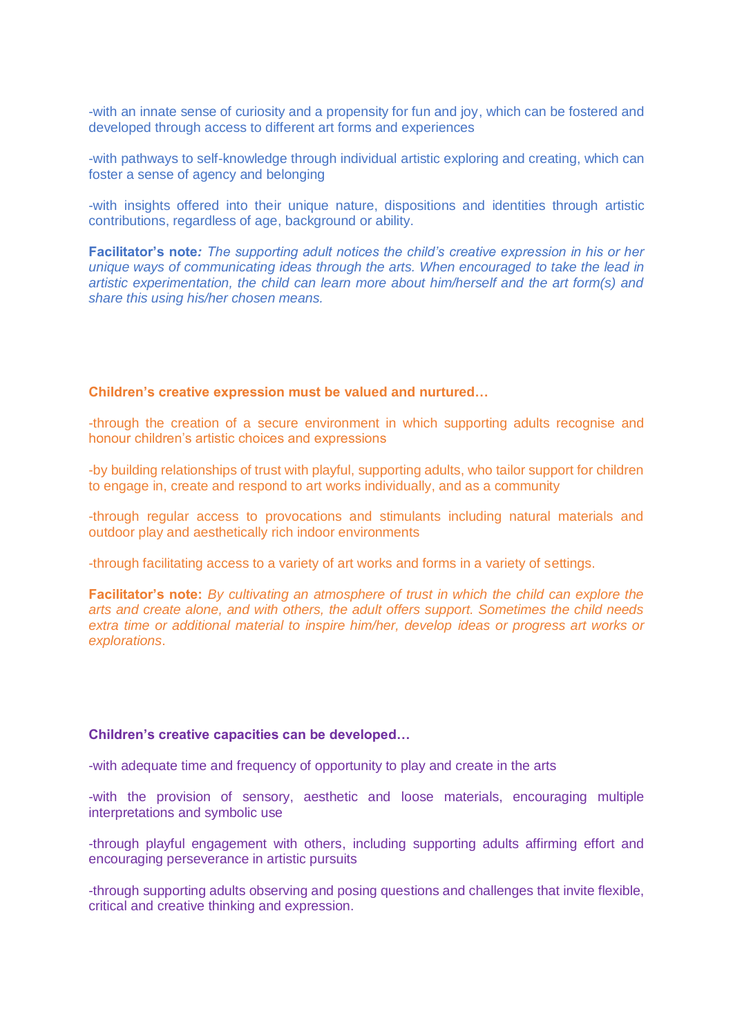-with an innate sense of curiosity and a propensity for fun and joy, which can be fostered and developed through access to different art forms and experiences

-with pathways to self-knowledge through individual artistic exploring and creating, which can foster a sense of agency and belonging

-with insights offered into their unique nature, dispositions and identities through artistic contributions, regardless of age, background or ability.

**Facilitator's note***: The supporting adult notices the child's creative expression in his or her unique ways of communicating ideas through the arts. When encouraged to take the lead in artistic experimentation, the child can learn more about him/herself and the art form(s) and share this using his/her chosen means.*

#### **Children's creative expression must be valued and nurtured…**

-through the creation of a secure environment in which supporting adults recognise and honour children's artistic choices and expressions

-by building relationships of trust with playful, supporting adults, who tailor support for children to engage in, create and respond to art works individually, and as a community

-through regular access to provocations and stimulants including natural materials and outdoor play and aesthetically rich indoor environments

-through facilitating access to a variety of art works and forms in a variety of settings.

**Facilitator's note:** *By cultivating an atmosphere of trust in which the child can explore the arts and create alone, and with others, the adult offers support. Sometimes the child needs extra time or additional material to inspire him/her, develop ideas or progress art works or explorations*.

#### **Children's creative capacities can be developed…**

-with adequate time and frequency of opportunity to play and create in the arts

-with the provision of sensory, aesthetic and loose materials, encouraging multiple interpretations and symbolic use

-through playful engagement with others, including supporting adults affirming effort and encouraging perseverance in artistic pursuits

-through supporting adults observing and posing questions and challenges that invite flexible, critical and creative thinking and expression.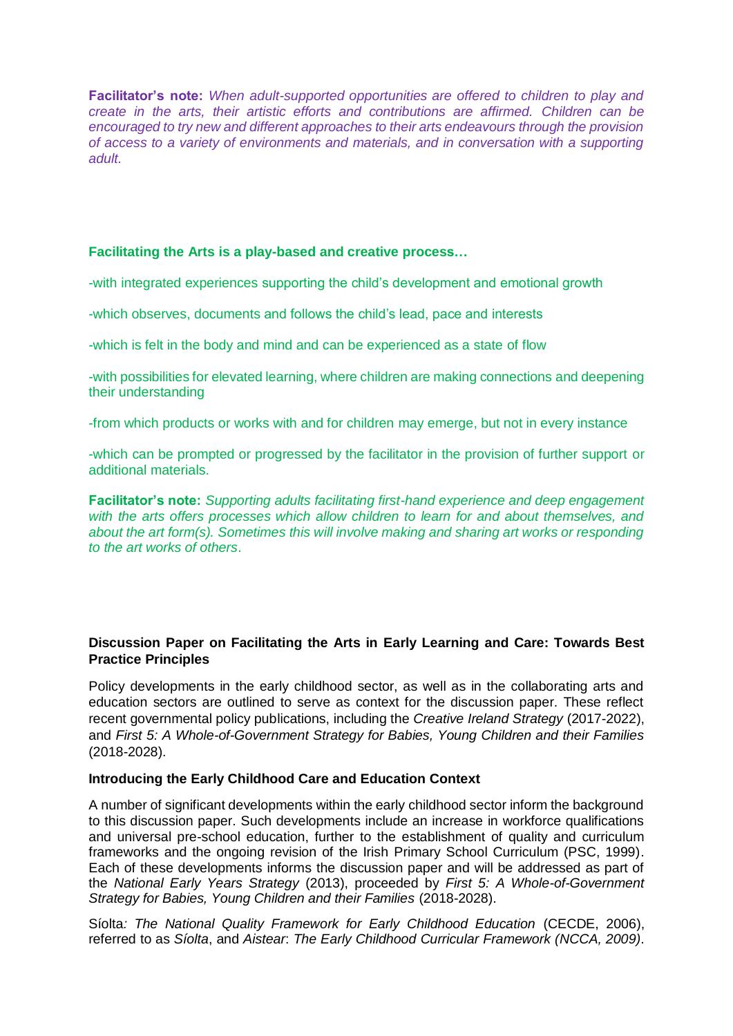**Facilitator's note:** *When adult-supported opportunities are offered to children to play and create in the arts, their artistic efforts and contributions are affirmed. Children can be encouraged to try new and different approaches to their arts endeavours through the provision of access to a variety of environments and materials, and in conversation with a supporting adult.*

## **Facilitating the Arts is a play-based and creative process…**

-with integrated experiences supporting the child's development and emotional growth

-which observes, documents and follows the child's lead, pace and interests

-which is felt in the body and mind and can be experienced as a state of flow

-with possibilities for elevated learning, where children are making connections and deepening their understanding

-from which products or works with and for children may emerge, but not in every instance

-which can be prompted or progressed by the facilitator in the provision of further support or additional materials.

**Facilitator's note:** *Supporting adults facilitating first-hand experience and deep engagement with the arts offers processes which allow children to learn for and about themselves, and about the art form(s). Sometimes this will involve making and sharing art works or responding to the art works of others*.

## **Discussion Paper on Facilitating the Arts in Early Learning and Care: Towards Best Practice Principles**

Policy developments in the early childhood sector, as well as in the collaborating arts and education sectors are outlined to serve as context for the discussion paper. These reflect recent governmental policy publications, including the *Creative Ireland Strategy* (2017-2022), and *First 5: A Whole-of-Government Strategy for Babies, Young Children and their Families* (2018-2028).

#### **Introducing the Early Childhood Care and Education Context**

A number of significant developments within the early childhood sector inform the background to this discussion paper. Such developments include an increase in workforce qualifications and universal pre-school education, further to the establishment of quality and curriculum frameworks and the ongoing revision of the Irish Primary School Curriculum (PSC, 1999). Each of these developments informs the discussion paper and will be addressed as part of the *National Early Years Strategy* (2013), proceeded by *First 5: A Whole-of-Government Strategy for Babies, Young Children and their Families* (2018-2028).

Síolta*: The National Quality Framework for Early Childhood Education* (CECDE, 2006), referred to as *Síolta*, and *Aistear*: *The Early Childhood Curricular Framework (NCCA, 2009)*.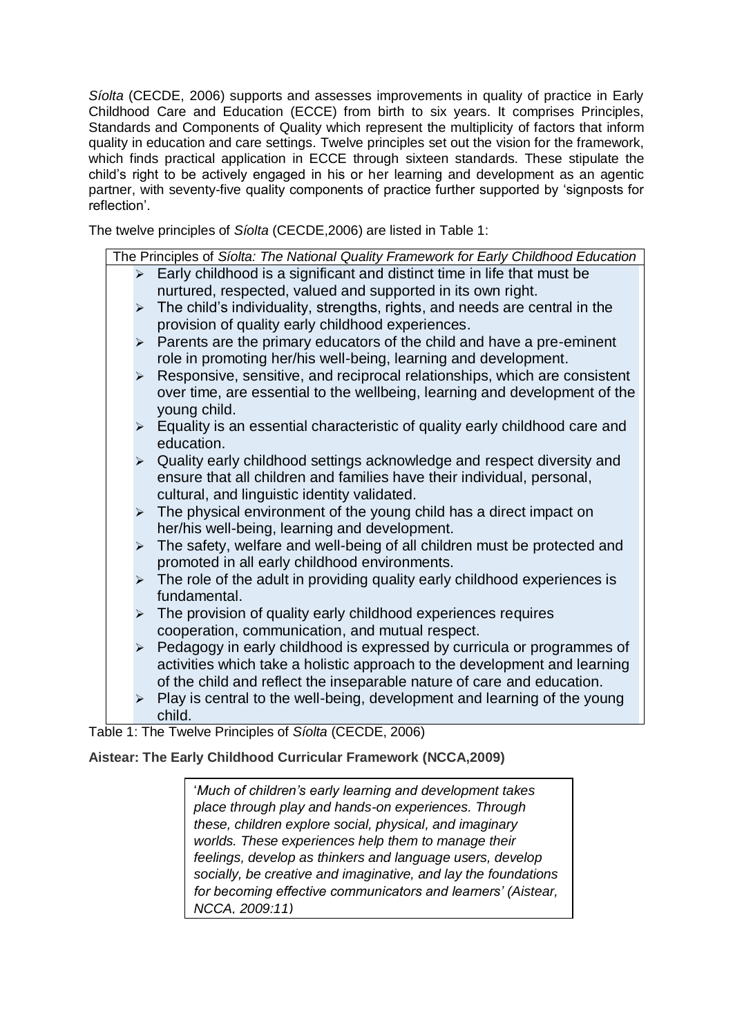*Síolta* (CECDE, 2006) supports and assesses improvements in quality of practice in Early Childhood Care and Education (ECCE) from birth to six years. It comprises Principles, Standards and Components of Quality which represent the multiplicity of factors that inform quality in education and care settings. Twelve principles set out the vision for the framework, which finds practical application in ECCE through sixteen standards. These stipulate the child's right to be actively engaged in his or her learning and development as an agentic partner, with seventy-five quality components of practice further supported by 'signposts for reflection'.

The twelve principles of *Síolta* (CECDE,2006) are listed in Table 1:

| The Principles of Síolta: The National Quality Framework for Early Childhood Education |                       |                                                                             |  |  |  |
|----------------------------------------------------------------------------------------|-----------------------|-----------------------------------------------------------------------------|--|--|--|
|                                                                                        | $\blacktriangleright$ | Early childhood is a significant and distinct time in life that must be     |  |  |  |
|                                                                                        |                       | nurtured, respected, valued and supported in its own right.                 |  |  |  |
|                                                                                        | $\blacktriangleright$ | The child's individuality, strengths, rights, and needs are central in the  |  |  |  |
|                                                                                        |                       | provision of quality early childhood experiences.                           |  |  |  |
|                                                                                        | ➤                     | Parents are the primary educators of the child and have a pre-eminent       |  |  |  |
|                                                                                        |                       | role in promoting her/his well-being, learning and development.             |  |  |  |
|                                                                                        | $\blacktriangleright$ | Responsive, sensitive, and reciprocal relationships, which are consistent   |  |  |  |
|                                                                                        |                       | over time, are essential to the wellbeing, learning and development of the  |  |  |  |
|                                                                                        |                       | young child.                                                                |  |  |  |
|                                                                                        | ➤                     | Equality is an essential characteristic of quality early childhood care and |  |  |  |
|                                                                                        |                       | education.                                                                  |  |  |  |
|                                                                                        | $\blacktriangleright$ | Quality early childhood settings acknowledge and respect diversity and      |  |  |  |
|                                                                                        |                       | ensure that all children and families have their individual, personal,      |  |  |  |
|                                                                                        |                       | cultural, and linguistic identity validated.                                |  |  |  |
|                                                                                        | $\blacktriangleright$ | The physical environment of the young child has a direct impact on          |  |  |  |
|                                                                                        |                       | her/his well-being, learning and development.                               |  |  |  |
|                                                                                        | $\blacktriangleright$ | The safety, welfare and well-being of all children must be protected and    |  |  |  |
|                                                                                        |                       | promoted in all early childhood environments.                               |  |  |  |
|                                                                                        | ➤                     | The role of the adult in providing quality early childhood experiences is   |  |  |  |
|                                                                                        |                       | fundamental.                                                                |  |  |  |
|                                                                                        | $\blacktriangleright$ | The provision of quality early childhood experiences requires               |  |  |  |
|                                                                                        |                       | cooperation, communication, and mutual respect.                             |  |  |  |
|                                                                                        | $\blacktriangleright$ | Pedagogy in early childhood is expressed by curricula or programmes of      |  |  |  |
|                                                                                        |                       | activities which take a holistic approach to the development and learning   |  |  |  |
|                                                                                        |                       | of the child and reflect the inseparable nature of care and education.      |  |  |  |
|                                                                                        | ⋗                     | Play is central to the well-being, development and learning of the young    |  |  |  |
|                                                                                        |                       | child.                                                                      |  |  |  |

Table 1: The Twelve Principles of *Síolta* (CECDE, 2006)

# **Aistear: The Early Childhood Curricular Framework (NCCA,2009)**

'*Much of children's early learning and development takes place through play and hands-on experiences. Through these, children explore social, physical, and imaginary worlds. These experiences help them to manage their feelings, develop as thinkers and language users, develop socially, be creative and imaginative, and lay the foundations for becoming effective communicators and learners' (Aistear, NCCA, 2009:11)*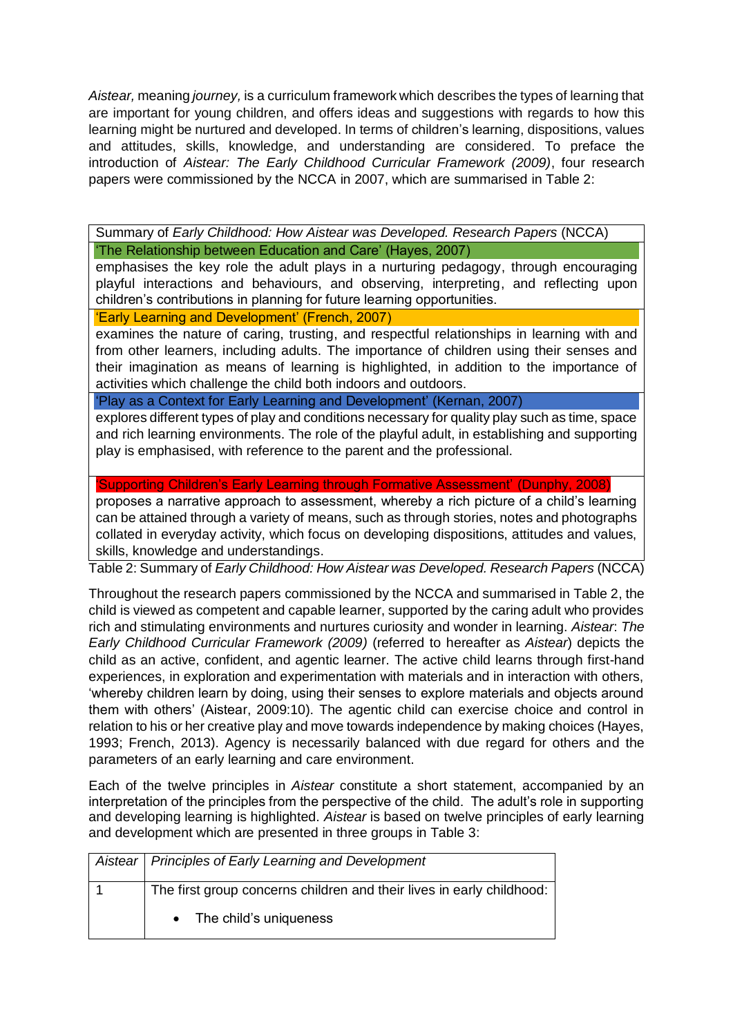*Aistear,* meaning *journey,* is a curriculum framework which describes the types of learning that are important for young children, and offers ideas and suggestions with regards to how this learning might be nurtured and developed. In terms of children's learning, dispositions, values and attitudes, skills, knowledge, and understanding are considered. To preface the introduction of *Aistear: The Early Childhood Curricular Framework (2009)*, four research papers were commissioned by the NCCA in 2007, which are summarised in Table 2:

Summary of *Early Childhood: How Aistear was Developed. Research Papers* (NCCA)

'The Relationship between Education and Care' (Hayes, 2007)

emphasises the key role the adult plays in a nurturing pedagogy, through encouraging playful interactions and behaviours, and observing, interpreting, and reflecting upon children's contributions in planning for future learning opportunities.

'Early Learning and Development' (French, 2007)

examines the nature of caring, trusting, and respectful relationships in learning with and from other learners, including adults. The importance of children using their senses and their imagination as means of learning is highlighted, in addition to the importance of activities which challenge the child both indoors and outdoors.

'Play as a Context for Early Learning and Development' (Kernan, 2007)

explores different types of play and conditions necessary for quality play such as time, space and rich learning environments. The role of the playful adult, in establishing and supporting play is emphasised, with reference to the parent and the professional.

'Supporting Children's Early Learning through Formative Assessment' (Dunphy, 2008)

proposes a narrative approach to assessment, whereby a rich picture of a child's learning can be attained through a variety of means, such as through stories, notes and photographs collated in everyday activity, which focus on developing dispositions, attitudes and values, skills, knowledge and understandings.

Table 2: Summary of *Early Childhood: How Aistear was Developed. Research Papers* (NCCA)

Throughout the research papers commissioned by the NCCA and summarised in Table 2, the child is viewed as competent and capable learner, supported by the caring adult who provides rich and stimulating environments and nurtures curiosity and wonder in learning. *Aistear*: *The Early Childhood Curricular Framework (2009)* (referred to hereafter as *Aistear*) depicts the child as an active, confident, and agentic learner. The active child learns through first-hand experiences, in exploration and experimentation with materials and in interaction with others, 'whereby children learn by doing, using their senses to explore materials and objects around them with others' (Aistear, 2009:10). The agentic child can exercise choice and control in relation to his or her creative play and move towards independence by making choices (Hayes, 1993; French, 2013). Agency is necessarily balanced with due regard for others and the parameters of an early learning and care environment.

Each of the twelve principles in *Aistear* constitute a short statement, accompanied by an interpretation of the principles from the perspective of the child. The adult's role in supporting and developing learning is highlighted. *Aistear* is based on twelve principles of early learning and development which are presented in three groups in Table 3:

| Aistear   Principles of Early Learning and Development                |
|-----------------------------------------------------------------------|
| The first group concerns children and their lives in early childhood: |
| The child's uniqueness                                                |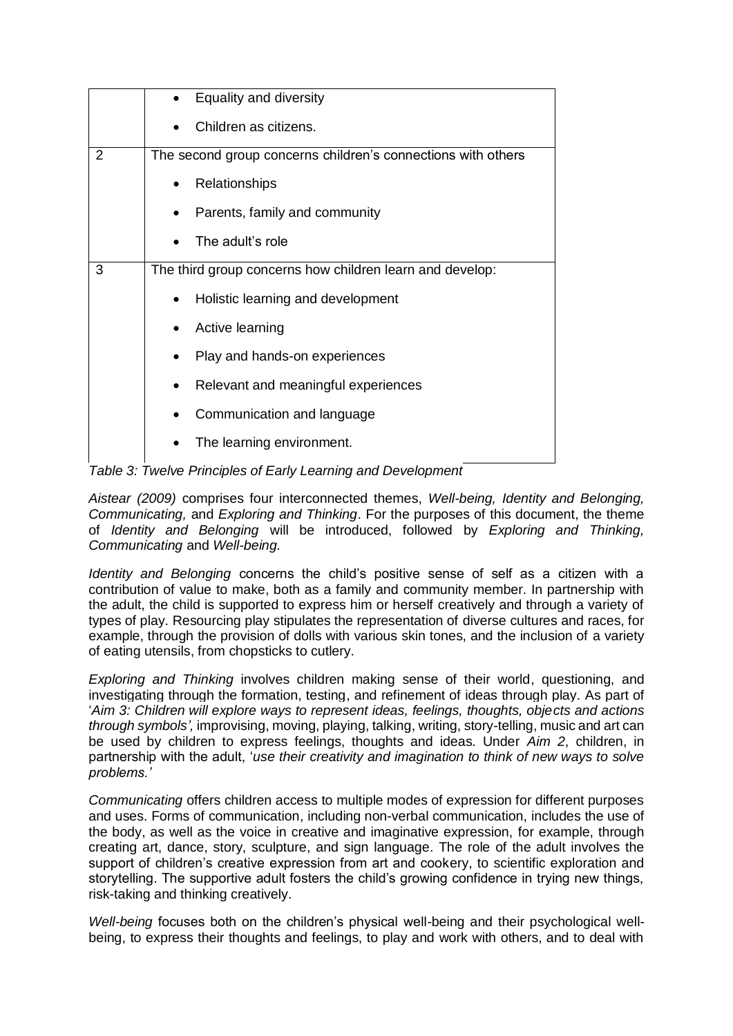|                | Equality and diversity                                       |  |
|----------------|--------------------------------------------------------------|--|
|                | Children as citizens.                                        |  |
| $\overline{2}$ | The second group concerns children's connections with others |  |
|                | Relationships                                                |  |
|                | Parents, family and community                                |  |
|                | The adult's role                                             |  |
| 3              | The third group concerns how children learn and develop:     |  |
|                | Holistic learning and development                            |  |
|                | Active learning                                              |  |
|                | Play and hands-on experiences                                |  |
|                | Relevant and meaningful experiences<br>$\bullet$             |  |
|                | Communication and language                                   |  |
|                | The learning environment.                                    |  |

*Table 3: Twelve Principles of Early Learning and Development*

*Aistear (2009)* comprises four interconnected themes, *Well-being, Identity and Belonging, Communicating,* and *Exploring and Thinking*. For the purposes of this document, the theme of *Identity and Belonging* will be introduced, followed by *Exploring and Thinking, Communicating* and *Well-being.*

*Identity and Belonging* concerns the child's positive sense of self as a citizen with a contribution of value to make, both as a family and community member. In partnership with the adult, the child is supported to express him or herself creatively and through a variety of types of play. Resourcing play stipulates the representation of diverse cultures and races, for example, through the provision of dolls with various skin tones, and the inclusion of a variety of eating utensils, from chopsticks to cutlery.

*Exploring and Thinking* involves children making sense of their world, questioning, and investigating through the formation, testing, and refinement of ideas through play. As part of '*Aim 3: Children will explore ways to represent ideas, feelings, thoughts, objects and actions through symbols',* improvising, moving, playing, talking, writing, story-telling, music and art can be used by children to express feelings, thoughts and ideas. Under *Aim 2*, children, in partnership with the adult, '*use their creativity and imagination to think of new ways to solve problems.'* 

*Communicating* offers children access to multiple modes of expression for different purposes and uses. Forms of communication, including non-verbal communication, includes the use of the body, as well as the voice in creative and imaginative expression, for example, through creating art, dance, story, sculpture, and sign language. The role of the adult involves the support of children's creative expression from art and cookery, to scientific exploration and storytelling. The supportive adult fosters the child's growing confidence in trying new things, risk-taking and thinking creatively.

*Well-being* focuses both on the children's physical well-being and their psychological wellbeing, to express their thoughts and feelings, to play and work with others, and to deal with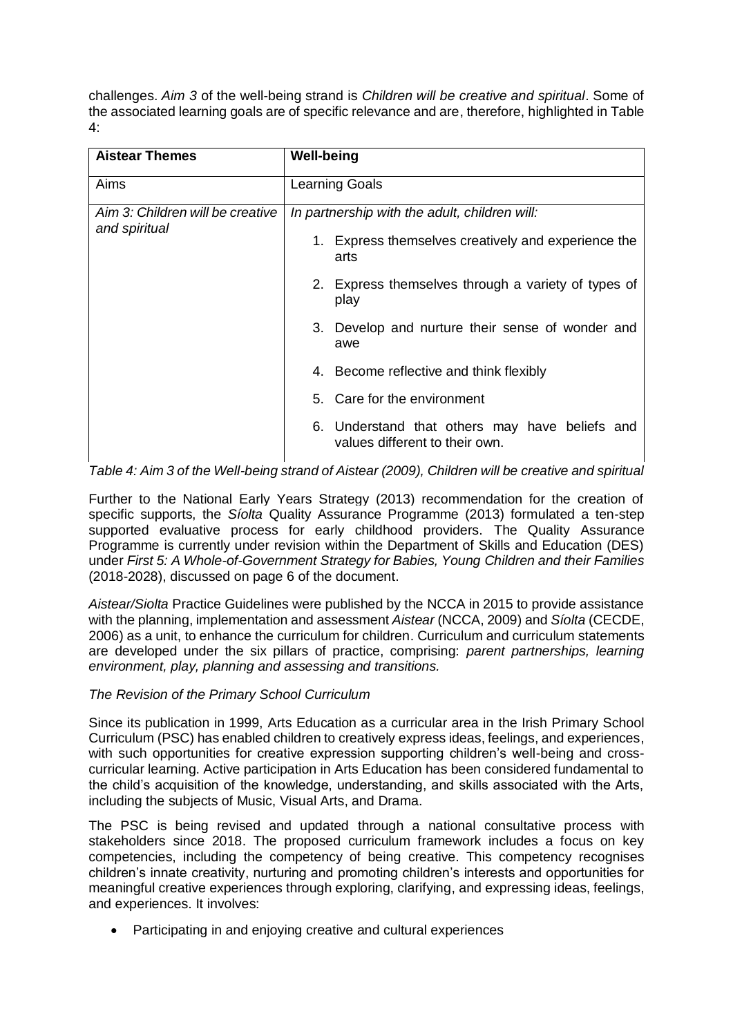challenges. *Aim 3* of the well-being strand is *Children will be creative and spiritual*. Some of the associated learning goals are of specific relevance and are, therefore, highlighted in Table 4:

| <b>Aistear Themes</b>                             | <b>Well-being</b><br><b>Learning Goals</b>                                       |  |  |
|---------------------------------------------------|----------------------------------------------------------------------------------|--|--|
| Aims                                              |                                                                                  |  |  |
| Aim 3: Children will be creative<br>and spiritual | In partnership with the adult, children will:                                    |  |  |
|                                                   | 1. Express themselves creatively and experience the<br>arts                      |  |  |
|                                                   | 2. Express themselves through a variety of types of<br>play                      |  |  |
|                                                   | 3. Develop and nurture their sense of wonder and<br>awe                          |  |  |
|                                                   | 4. Become reflective and think flexibly                                          |  |  |
|                                                   | 5. Care for the environment                                                      |  |  |
|                                                   | 6. Understand that others may have beliefs and<br>values different to their own. |  |  |

*Table 4: Aim 3 of the Well-being strand of Aistear (2009), Children will be creative and spiritual* 

Further to the National Early Years Strategy (2013) recommendation for the creation of specific supports, the *Síolta* Quality Assurance Programme (2013) formulated a ten-step supported evaluative process for early childhood providers. The Quality Assurance Programme is currently under revision within the Department of Skills and Education (DES) under *First 5: A Whole-of-Government Strategy for Babies, Young Children and their Families* (2018-2028), discussed on page 6 of the document.

*Aistear/Siolta* Practice Guidelines were published by the NCCA in 2015 to provide assistance with the planning, implementation and assessment *Aistear* (NCCA, 2009) and *Síolta* (CECDE, 2006) as a unit, to enhance the curriculum for children. Curriculum and curriculum statements are developed under the six pillars of practice, comprising: *parent partnerships, learning environment, play, planning and assessing and transitions.*

## *The Revision of the Primary School Curriculum*

Since its publication in 1999, Arts Education as a curricular area in the Irish Primary School Curriculum (PSC) has enabled children to creatively express ideas, feelings, and experiences, with such opportunities for creative expression supporting children's well-being and crosscurricular learning. Active participation in Arts Education has been considered fundamental to the child's acquisition of the knowledge, understanding, and skills associated with the Arts, including the subjects of Music, Visual Arts, and Drama.

The PSC is being revised and updated through a national consultative process with stakeholders since 2018. The proposed curriculum framework includes a focus on key competencies, including the competency of being creative. This competency recognises children's innate creativity, nurturing and promoting children's interests and opportunities for meaningful creative experiences through exploring, clarifying, and expressing ideas, feelings, and experiences. It involves:

• Participating in and enjoying creative and cultural experiences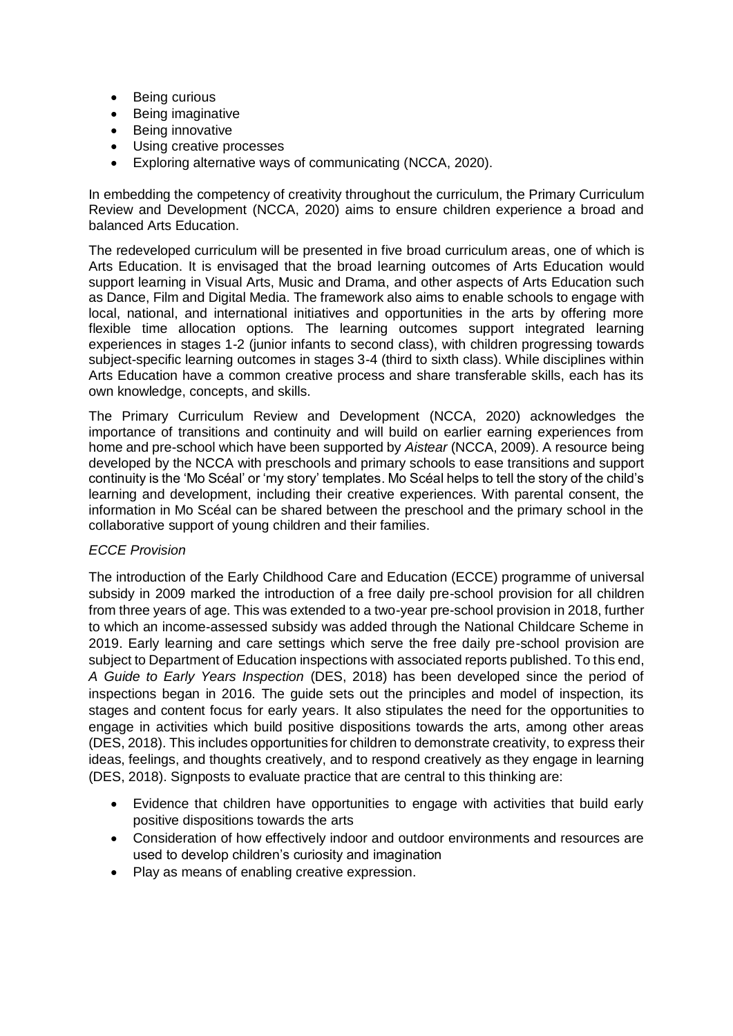- Being curious
- Being imaginative
- Being innovative
- Using creative processes
- Exploring alternative ways of communicating (NCCA, 2020).

In embedding the competency of creativity throughout the curriculum, the Primary Curriculum Review and Development (NCCA, 2020) aims to ensure children experience a broad and balanced Arts Education.

The redeveloped curriculum will be presented in five broad curriculum areas, one of which is Arts Education. It is envisaged that the broad learning outcomes of Arts Education would support learning in Visual Arts, Music and Drama, and other aspects of Arts Education such as Dance, Film and Digital Media. The framework also aims to enable schools to engage with local, national, and international initiatives and opportunities in the arts by offering more flexible time allocation options. The learning outcomes support integrated learning experiences in stages 1-2 (junior infants to second class), with children progressing towards subject-specific learning outcomes in stages 3-4 (third to sixth class). While disciplines within Arts Education have a common creative process and share transferable skills, each has its own knowledge, concepts, and skills.

The Primary Curriculum Review and Development (NCCA, 2020) acknowledges the importance of transitions and continuity and will build on earlier earning experiences from home and pre-school which have been supported by *Aistear* (NCCA, 2009). A resource being developed by the NCCA with preschools and primary schools to ease transitions and support continuity is the 'Mo Scéal' or 'my story' templates. Mo Scéal helps to tell the story of the child's learning and development, including their creative experiences. With parental consent, the information in Mo Scéal can be shared between the preschool and the primary school in the collaborative support of young children and their families.

## *ECCE Provision*

The introduction of the Early Childhood Care and Education (ECCE) programme of universal subsidy in 2009 marked the introduction of a free daily pre-school provision for all children from three years of age. This was extended to a two-year pre-school provision in 2018, further to which an income-assessed subsidy was added through the National Childcare Scheme in 2019. Early learning and care settings which serve the free daily pre-school provision are subject to Department of Education inspections with associated reports published. To this end, *A Guide to Early Years Inspection* (DES, 2018) has been developed since the period of inspections began in 2016. The guide sets out the principles and model of inspection, its stages and content focus for early years. It also stipulates the need for the opportunities to engage in activities which build positive dispositions towards the arts, among other areas (DES, 2018). This includes opportunities for children to demonstrate creativity, to express their ideas, feelings, and thoughts creatively, and to respond creatively as they engage in learning (DES, 2018). Signposts to evaluate practice that are central to this thinking are:

- Evidence that children have opportunities to engage with activities that build early positive dispositions towards the arts
- Consideration of how effectively indoor and outdoor environments and resources are used to develop children's curiosity and imagination
- Play as means of enabling creative expression.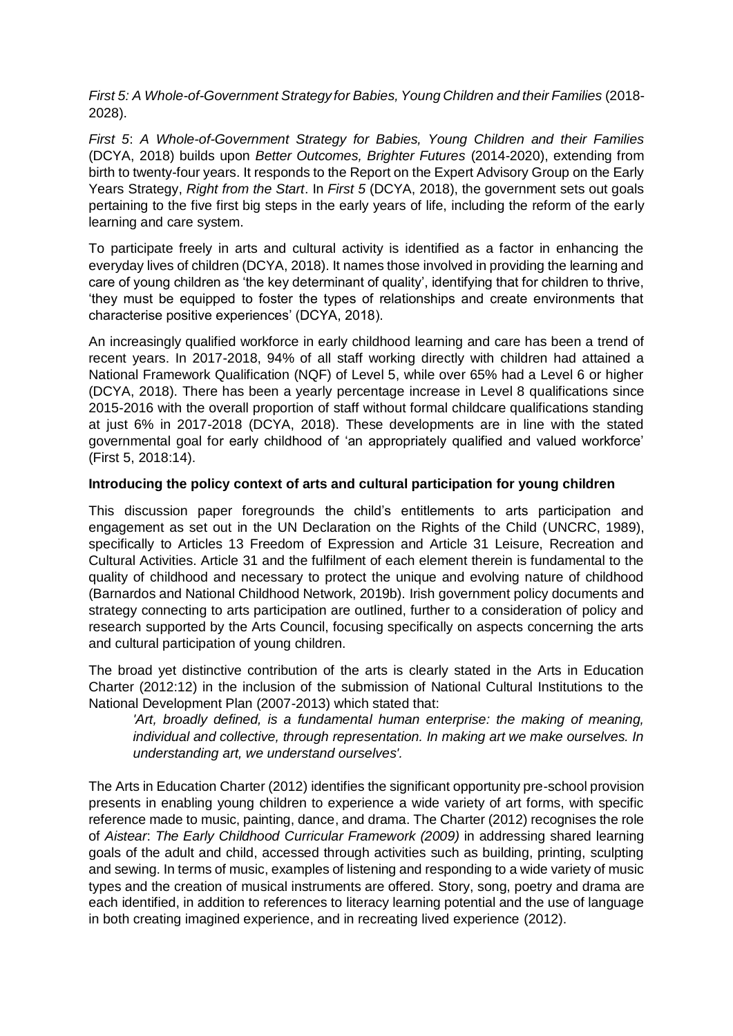*First 5: A Whole-of-Government Strategy for Babies, Young Children and their Families* (2018- 2028).

*First 5*: *A Whole-of-Government Strategy for Babies, Young Children and their Families* (DCYA, 2018) builds upon *Better Outcomes, Brighter Futures* (2014-2020), extending from birth to twenty-four years. It responds to the Report on the Expert Advisory Group on the Early Years Strategy, *Right from the Start*. In *First 5* (DCYA, 2018), the government sets out goals pertaining to the five first big steps in the early years of life, including the reform of the early learning and care system.

To participate freely in arts and cultural activity is identified as a factor in enhancing the everyday lives of children (DCYA, 2018). It names those involved in providing the learning and care of young children as 'the key determinant of quality', identifying that for children to thrive, 'they must be equipped to foster the types of relationships and create environments that characterise positive experiences' (DCYA, 2018).

An increasingly qualified workforce in early childhood learning and care has been a trend of recent years. In 2017-2018, 94% of all staff working directly with children had attained a National Framework Qualification (NQF) of Level 5, while over 65% had a Level 6 or higher (DCYA, 2018). There has been a yearly percentage increase in Level 8 qualifications since 2015-2016 with the overall proportion of staff without formal childcare qualifications standing at just 6% in 2017-2018 (DCYA, 2018). These developments are in line with the stated governmental goal for early childhood of 'an appropriately qualified and valued workforce' (First 5, 2018:14).

## **Introducing the policy context of arts and cultural participation for young children**

This discussion paper foregrounds the child's entitlements to arts participation and engagement as set out in the UN Declaration on the Rights of the Child (UNCRC, 1989), specifically to Articles 13 Freedom of Expression and Article 31 Leisure, Recreation and Cultural Activities. Article 31 and the fulfilment of each element therein is fundamental to the quality of childhood and necessary to protect the unique and evolving nature of childhood (Barnardos and National Childhood Network, 2019b). Irish government policy documents and strategy connecting to arts participation are outlined, further to a consideration of policy and research supported by the Arts Council, focusing specifically on aspects concerning the arts and cultural participation of young children.

The broad yet distinctive contribution of the arts is clearly stated in the Arts in Education Charter (2012:12) in the inclusion of the submission of National Cultural Institutions to the National Development Plan (2007-2013) which stated that:

*'Art, broadly defined, is a fundamental human enterprise: the making of meaning, individual and collective, through representation. In making art we make ourselves. In understanding art, we understand ourselves'.*

The Arts in Education Charter (2012) identifies the significant opportunity pre-school provision presents in enabling young children to experience a wide variety of art forms, with specific reference made to music, painting, dance, and drama. The Charter (2012) recognises the role of *Aistear*: *The Early Childhood Curricular Framework (2009)* in addressing shared learning goals of the adult and child, accessed through activities such as building, printing, sculpting and sewing. In terms of music, examples of listening and responding to a wide variety of music types and the creation of musical instruments are offered. Story, song, poetry and drama are each identified, in addition to references to literacy learning potential and the use of language in both creating imagined experience, and in recreating lived experience (2012).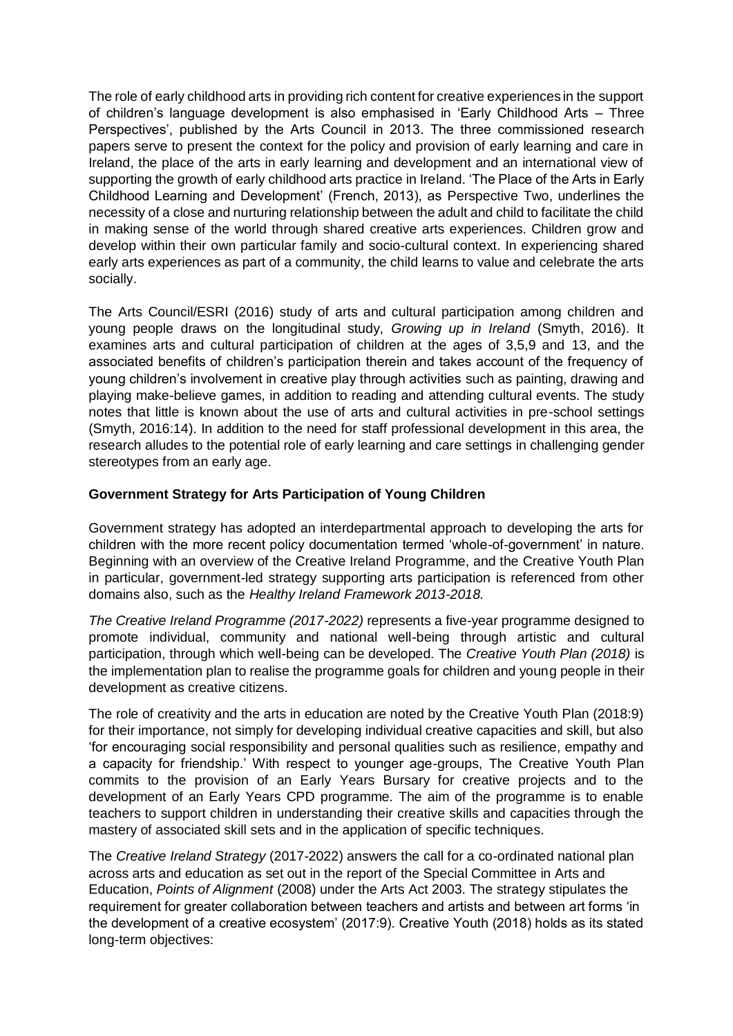The role of early childhood arts in providing rich content for creative experiences in the support of children's language development is also emphasised in 'Early Childhood Arts – Three Perspectives', published by the Arts Council in 2013. The three commissioned research papers serve to present the context for the policy and provision of early learning and care in Ireland, the place of the arts in early learning and development and an international view of supporting the growth of early childhood arts practice in Ireland. 'The Place of the Arts in Early Childhood Learning and Development' (French, 2013), as Perspective Two, underlines the necessity of a close and nurturing relationship between the adult and child to facilitate the child in making sense of the world through shared creative arts experiences. Children grow and develop within their own particular family and socio-cultural context. In experiencing shared early arts experiences as part of a community, the child learns to value and celebrate the arts socially.

The Arts Council/ESRI (2016) study of arts and cultural participation among children and young people draws on the longitudinal study, *Growing up in Ireland* (Smyth, 2016). It examines arts and cultural participation of children at the ages of 3,5,9 and 13, and the associated benefits of children's participation therein and takes account of the frequency of young children's involvement in creative play through activities such as painting, drawing and playing make-believe games, in addition to reading and attending cultural events. The study notes that little is known about the use of arts and cultural activities in pre-school settings (Smyth, 2016:14). In addition to the need for staff professional development in this area, the research alludes to the potential role of early learning and care settings in challenging gender stereotypes from an early age.

# **Government Strategy for Arts Participation of Young Children**

Government strategy has adopted an interdepartmental approach to developing the arts for children with the more recent policy documentation termed 'whole-of-government' in nature. Beginning with an overview of the Creative Ireland Programme, and the Creative Youth Plan in particular, government-led strategy supporting arts participation is referenced from other domains also, such as the *Healthy Ireland Framework 2013-2018.*

*The Creative Ireland Programme (2017-2022)* represents a five-year programme designed to promote individual, community and national well-being through artistic and cultural participation, through which well-being can be developed. The *Creative Youth Plan (2018)* is the implementation plan to realise the programme goals for children and young people in their development as creative citizens.

The role of creativity and the arts in education are noted by the Creative Youth Plan (2018:9) for their importance, not simply for developing individual creative capacities and skill, but also 'for encouraging social responsibility and personal qualities such as resilience, empathy and a capacity for friendship.' With respect to younger age-groups, The Creative Youth Plan commits to the provision of an Early Years Bursary for creative projects and to the development of an Early Years CPD programme. The aim of the programme is to enable teachers to support children in understanding their creative skills and capacities through the mastery of associated skill sets and in the application of specific techniques.

The *Creative Ireland Strategy* (2017-2022) answers the call for a co-ordinated national plan across arts and education as set out in the report of the Special Committee in Arts and Education, *Points of Alignment* (2008) under the Arts Act 2003. The strategy stipulates the requirement for greater collaboration between teachers and artists and between art forms 'in the development of a creative ecosystem' (2017:9). Creative Youth (2018) holds as its stated long-term objectives: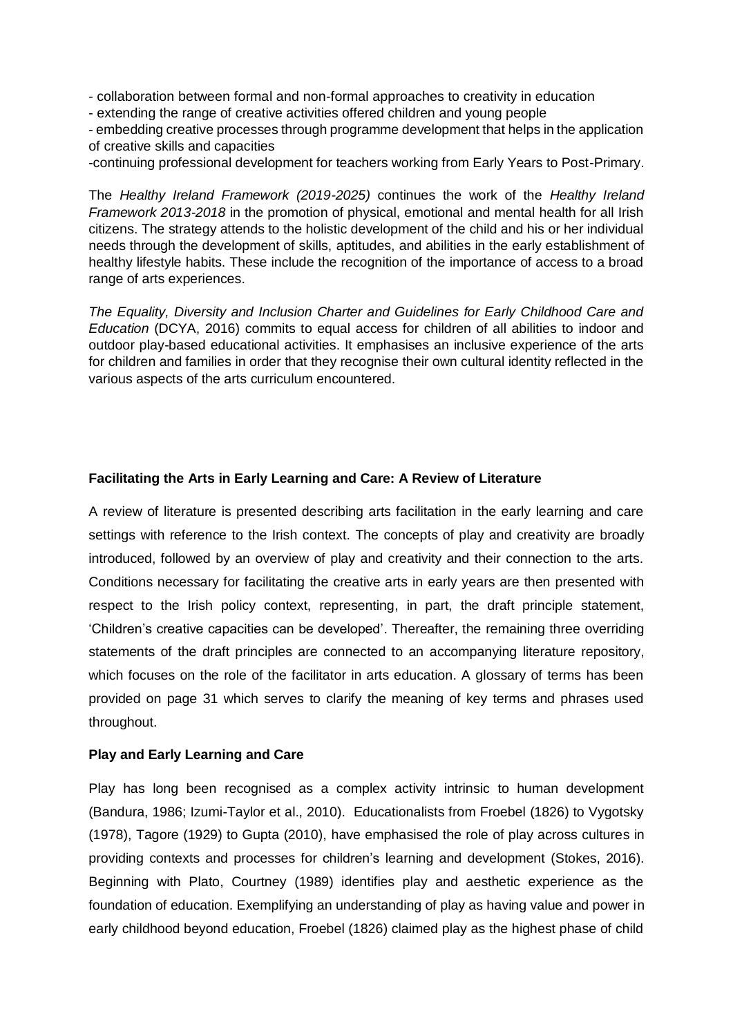- collaboration between formal and non-formal approaches to creativity in education

- extending the range of creative activities offered children and young people

- embedding creative processes through programme development that helps in the application of creative skills and capacities

-continuing professional development for teachers working from Early Years to Post-Primary.

The *Healthy Ireland Framework (2019-2025)* continues the work of the *Healthy Ireland Framework 2013-2018* in the promotion of physical, emotional and mental health for all Irish citizens. The strategy attends to the holistic development of the child and his or her individual needs through the development of skills, aptitudes, and abilities in the early establishment of healthy lifestyle habits. These include the recognition of the importance of access to a broad range of arts experiences.

*The Equality, Diversity and Inclusion Charter and Guidelines for Early Childhood Care and Education* (DCYA, 2016) commits to equal access for children of all abilities to indoor and outdoor play-based educational activities. It emphasises an inclusive experience of the arts for children and families in order that they recognise their own cultural identity reflected in the various aspects of the arts curriculum encountered.

## **Facilitating the Arts in Early Learning and Care: A Review of Literature**

A review of literature is presented describing arts facilitation in the early learning and care settings with reference to the Irish context. The concepts of play and creativity are broadly introduced, followed by an overview of play and creativity and their connection to the arts. Conditions necessary for facilitating the creative arts in early years are then presented with respect to the Irish policy context, representing, in part, the draft principle statement, 'Children's creative capacities can be developed'. Thereafter, the remaining three overriding statements of the draft principles are connected to an accompanying literature repository, which focuses on the role of the facilitator in arts education. A glossary of terms has been provided on page 31 which serves to clarify the meaning of key terms and phrases used throughout.

#### **Play and Early Learning and Care**

Play has long been recognised as a complex activity intrinsic to human development (Bandura, 1986; Izumi-Taylor et al., 2010). Educationalists from Froebel (1826) to Vygotsky (1978), Tagore (1929) to Gupta (2010), have emphasised the role of play across cultures in providing contexts and processes for children's learning and development (Stokes, 2016). Beginning with Plato, Courtney (1989) identifies play and aesthetic experience as the foundation of education. Exemplifying an understanding of play as having value and power in early childhood beyond education, Froebel (1826) claimed play as the highest phase of child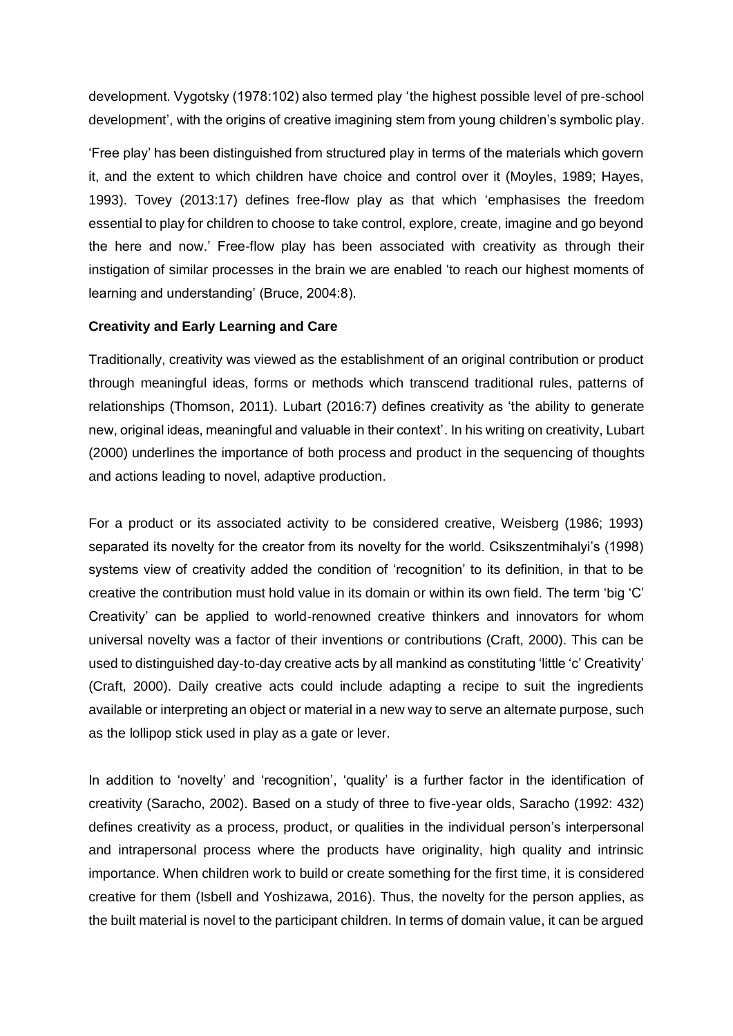development. Vygotsky (1978:102) also termed play 'the highest possible level of pre-school development', with the origins of creative imagining stem from young children's symbolic play.

'Free play' has been distinguished from structured play in terms of the materials which govern it, and the extent to which children have choice and control over it (Moyles, 1989; Hayes, 1993). Tovey (2013:17) defines free-flow play as that which 'emphasises the freedom essential to play for children to choose to take control, explore, create, imagine and go beyond the here and now.' Free-flow play has been associated with creativity as through their instigation of similar processes in the brain we are enabled 'to reach our highest moments of learning and understanding' (Bruce, 2004:8).

## **Creativity and Early Learning and Care**

Traditionally, creativity was viewed as the establishment of an original contribution or product through meaningful ideas, forms or methods which transcend traditional rules, patterns of relationships (Thomson, 2011). Lubart (2016:7) defines creativity as 'the ability to generate new, original ideas, meaningful and valuable in their context'. In his writing on creativity, Lubart (2000) underlines the importance of both process and product in the sequencing of thoughts and actions leading to novel, adaptive production.

For a product or its associated activity to be considered creative, Weisberg (1986; 1993) separated its novelty for the creator from its novelty for the world. Csikszentmihalyi's (1998) systems view of creativity added the condition of 'recognition' to its definition, in that to be creative the contribution must hold value in its domain or within its own field. The term 'big 'C' Creativity' can be applied to world-renowned creative thinkers and innovators for whom universal novelty was a factor of their inventions or contributions (Craft, 2000). This can be used to distinguished day-to-day creative acts by all mankind as constituting 'little 'c' Creativity' (Craft, 2000). Daily creative acts could include adapting a recipe to suit the ingredients available or interpreting an object or material in a new way to serve an alternate purpose, such as the lollipop stick used in play as a gate or lever.

In addition to 'novelty' and 'recognition', 'quality' is a further factor in the identification of creativity (Saracho, 2002). Based on a study of three to five-year olds, Saracho (1992: 432) defines creativity as a process, product, or qualities in the individual person's interpersonal and intrapersonal process where the products have originality, high quality and intrinsic importance. When children work to build or create something for the first time, it is considered creative for them (Isbell and Yoshizawa, 2016). Thus, the novelty for the person applies, as the built material is novel to the participant children. In terms of domain value, it can be argued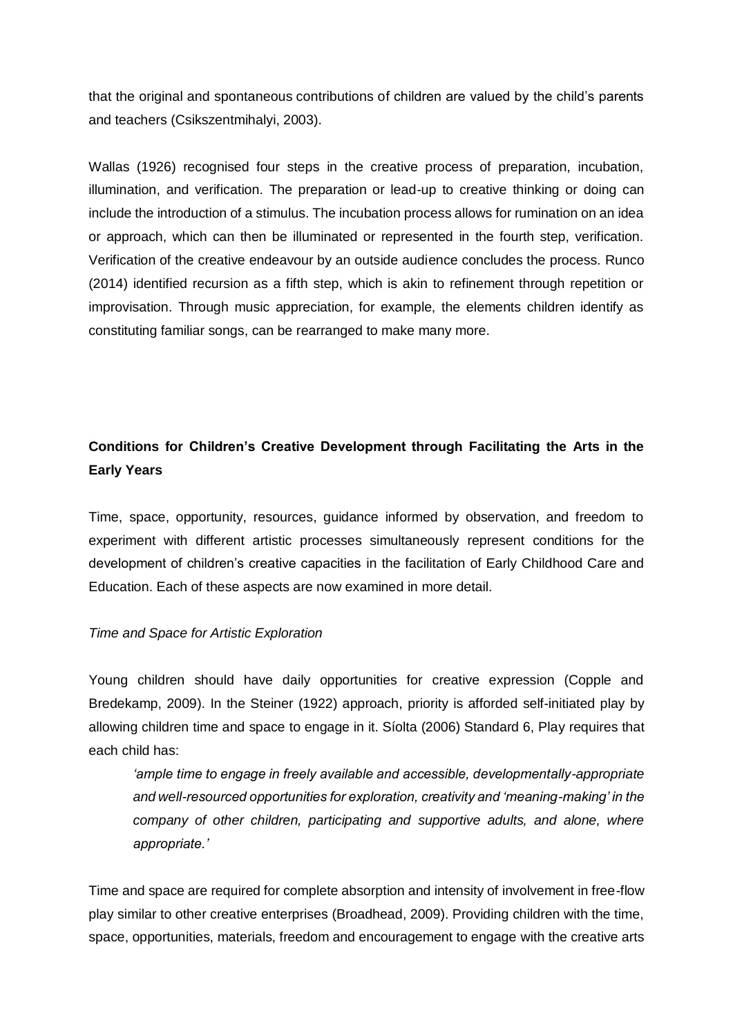that the original and spontaneous contributions of children are valued by the child's parents and teachers (Csikszentmihalyi, 2003).

Wallas (1926) recognised four steps in the creative process of preparation, incubation, illumination, and verification. The preparation or lead-up to creative thinking or doing can include the introduction of a stimulus. The incubation process allows for rumination on an idea or approach, which can then be illuminated or represented in the fourth step, verification. Verification of the creative endeavour by an outside audience concludes the process. Runco (2014) identified recursion as a fifth step, which is akin to refinement through repetition or improvisation. Through music appreciation, for example, the elements children identify as constituting familiar songs, can be rearranged to make many more.

# **Conditions for Children's Creative Development through Facilitating the Arts in the Early Years**

Time, space, opportunity, resources, guidance informed by observation, and freedom to experiment with different artistic processes simultaneously represent conditions for the development of children's creative capacities in the facilitation of Early Childhood Care and Education. Each of these aspects are now examined in more detail.

#### *Time and Space for Artistic Exploration*

Young children should have daily opportunities for creative expression (Copple and Bredekamp, 2009). In the Steiner (1922) approach, priority is afforded self-initiated play by allowing children time and space to engage in it. Síolta (2006) Standard 6, Play requires that each child has:

*'ample time to engage in freely available and accessible, developmentally-appropriate and well-resourced opportunities for exploration, creativity and 'meaning-making' in the company of other children, participating and supportive adults, and alone, where appropriate.'*

Time and space are required for complete absorption and intensity of involvement in free-flow play similar to other creative enterprises (Broadhead, 2009). Providing children with the time, space, opportunities, materials, freedom and encouragement to engage with the creative arts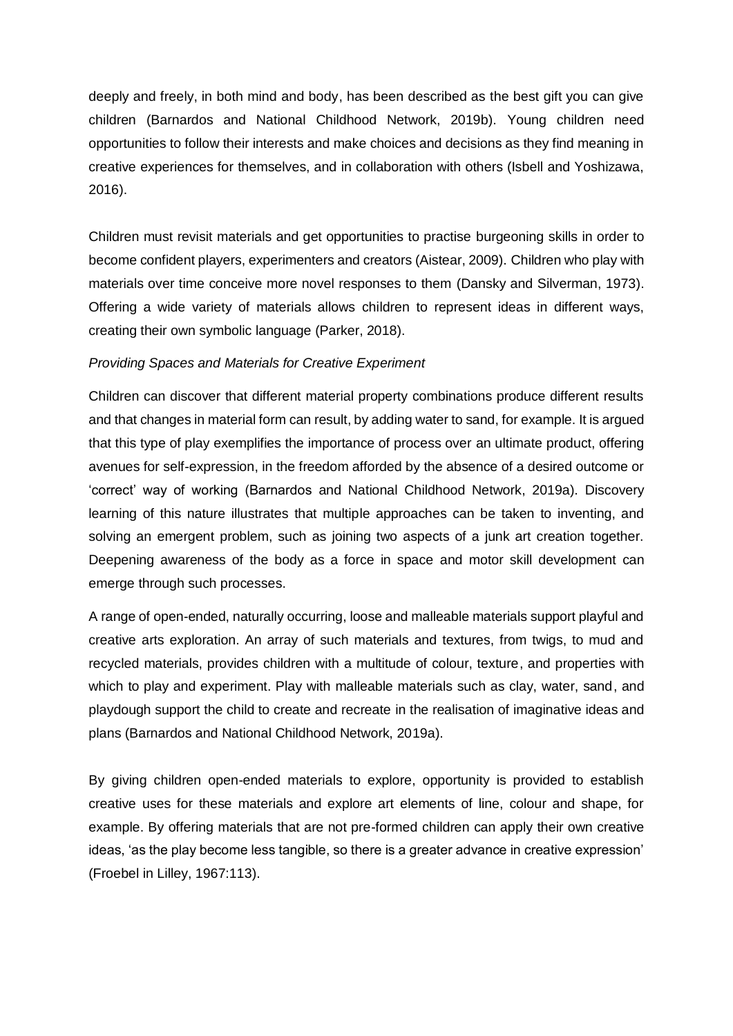deeply and freely, in both mind and body, has been described as the best gift you can give children (Barnardos and National Childhood Network, 2019b). Young children need opportunities to follow their interests and make choices and decisions as they find meaning in creative experiences for themselves, and in collaboration with others (Isbell and Yoshizawa, 2016).

Children must revisit materials and get opportunities to practise burgeoning skills in order to become confident players, experimenters and creators (Aistear, 2009). Children who play with materials over time conceive more novel responses to them (Dansky and Silverman, 1973). Offering a wide variety of materials allows children to represent ideas in different ways, creating their own symbolic language (Parker, 2018).

## *Providing Spaces and Materials for Creative Experiment*

Children can discover that different material property combinations produce different results and that changes in material form can result, by adding water to sand, for example. It is argued that this type of play exemplifies the importance of process over an ultimate product, offering avenues for self-expression, in the freedom afforded by the absence of a desired outcome or 'correct' way of working (Barnardos and National Childhood Network, 2019a). Discovery learning of this nature illustrates that multiple approaches can be taken to inventing, and solving an emergent problem, such as joining two aspects of a junk art creation together. Deepening awareness of the body as a force in space and motor skill development can emerge through such processes.

A range of open-ended, naturally occurring, loose and malleable materials support playful and creative arts exploration. An array of such materials and textures, from twigs, to mud and recycled materials, provides children with a multitude of colour, texture, and properties with which to play and experiment. Play with malleable materials such as clay, water, sand, and playdough support the child to create and recreate in the realisation of imaginative ideas and plans (Barnardos and National Childhood Network, 2019a).

By giving children open-ended materials to explore, opportunity is provided to establish creative uses for these materials and explore art elements of line, colour and shape, for example. By offering materials that are not pre-formed children can apply their own creative ideas, 'as the play become less tangible, so there is a greater advance in creative expression' (Froebel in Lilley, 1967:113).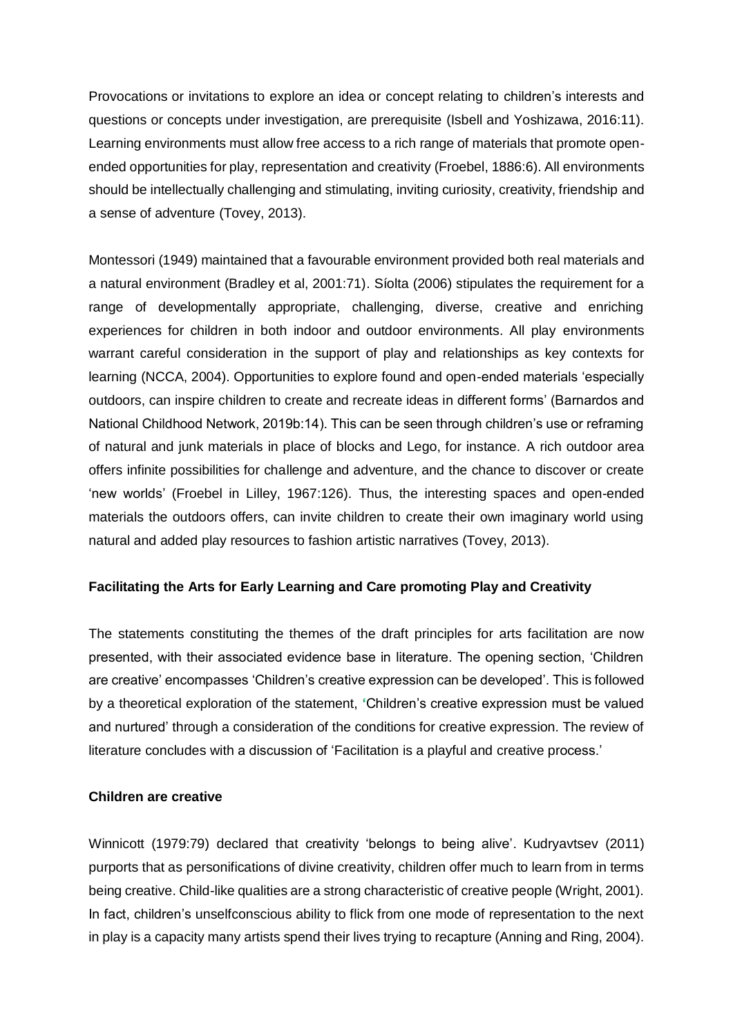Provocations or invitations to explore an idea or concept relating to children's interests and questions or concepts under investigation, are prerequisite (Isbell and Yoshizawa, 2016:11). Learning environments must allow free access to a rich range of materials that promote openended opportunities for play, representation and creativity (Froebel, 1886:6). All environments should be intellectually challenging and stimulating, inviting curiosity, creativity, friendship and a sense of adventure (Tovey, 2013).

Montessori (1949) maintained that a favourable environment provided both real materials and a natural environment (Bradley et al, 2001:71). Síolta (2006) stipulates the requirement for a range of developmentally appropriate, challenging, diverse, creative and enriching experiences for children in both indoor and outdoor environments. All play environments warrant careful consideration in the support of play and relationships as key contexts for learning (NCCA, 2004). Opportunities to explore found and open-ended materials 'especially outdoors, can inspire children to create and recreate ideas in different forms' (Barnardos and National Childhood Network, 2019b:14). This can be seen through children's use or reframing of natural and junk materials in place of blocks and Lego, for instance. A rich outdoor area offers infinite possibilities for challenge and adventure, and the chance to discover or create 'new worlds' (Froebel in Lilley, 1967:126). Thus, the interesting spaces and open-ended materials the outdoors offers, can invite children to create their own imaginary world using natural and added play resources to fashion artistic narratives (Tovey, 2013).

## **Facilitating the Arts for Early Learning and Care promoting Play and Creativity**

The statements constituting the themes of the draft principles for arts facilitation are now presented, with their associated evidence base in literature. The opening section, 'Children are creative' encompasses 'Children's creative expression can be developed'. This is followed by a theoretical exploration of the statement, **'**Children's creative expression must be valued and nurtured' through a consideration of the conditions for creative expression. The review of literature concludes with a discussion of 'Facilitation is a playful and creative process.'

## **Children are creative**

Winnicott (1979:79) declared that creativity 'belongs to being alive'. Kudryavtsev (2011) purports that as personifications of divine creativity, children offer much to learn from in terms being creative. Child-like qualities are a strong characteristic of creative people (Wright, 2001). In fact, children's unselfconscious ability to flick from one mode of representation to the next in play is a capacity many artists spend their lives trying to recapture (Anning and Ring, 2004).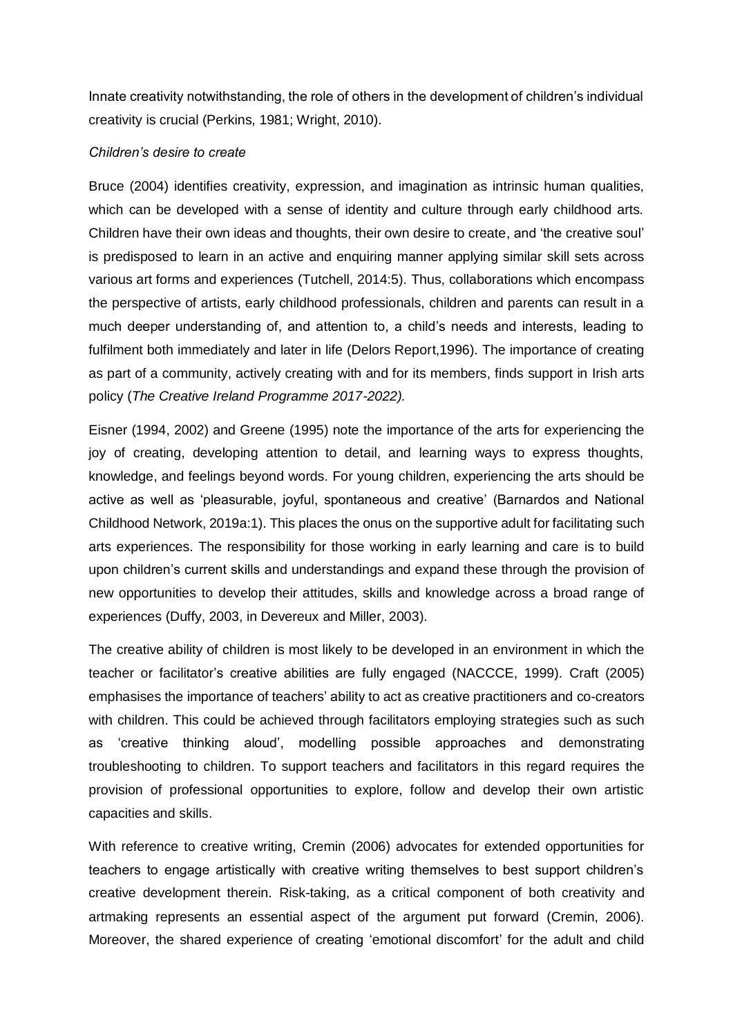Innate creativity notwithstanding, the role of others in the development of children's individual creativity is crucial (Perkins, 1981; Wright, 2010).

#### *Children's desire to create*

Bruce (2004) identifies creativity, expression, and imagination as intrinsic human qualities, which can be developed with a sense of identity and culture through early childhood arts. Children have their own ideas and thoughts, their own desire to create, and 'the creative soul' is predisposed to learn in an active and enquiring manner applying similar skill sets across various art forms and experiences (Tutchell, 2014:5). Thus, collaborations which encompass the perspective of artists, early childhood professionals, children and parents can result in a much deeper understanding of, and attention to, a child's needs and interests, leading to fulfilment both immediately and later in life (Delors Report,1996). The importance of creating as part of a community, actively creating with and for its members, finds support in Irish arts policy (*The Creative Ireland Programme 2017-2022).*

Eisner (1994, 2002) and Greene (1995) note the importance of the arts for experiencing the joy of creating, developing attention to detail, and learning ways to express thoughts, knowledge, and feelings beyond words. For young children, experiencing the arts should be active as well as 'pleasurable, joyful, spontaneous and creative' (Barnardos and National Childhood Network, 2019a:1). This places the onus on the supportive adult for facilitating such arts experiences. The responsibility for those working in early learning and care is to build upon children's current skills and understandings and expand these through the provision of new opportunities to develop their attitudes, skills and knowledge across a broad range of experiences (Duffy, 2003, in Devereux and Miller, 2003).

The creative ability of children is most likely to be developed in an environment in which the teacher or facilitator's creative abilities are fully engaged (NACCCE, 1999). Craft (2005) emphasises the importance of teachers' ability to act as creative practitioners and co-creators with children. This could be achieved through facilitators employing strategies such as such as 'creative thinking aloud', modelling possible approaches and demonstrating troubleshooting to children. To support teachers and facilitators in this regard requires the provision of professional opportunities to explore, follow and develop their own artistic capacities and skills.

With reference to creative writing, Cremin (2006) advocates for extended opportunities for teachers to engage artistically with creative writing themselves to best support children's creative development therein. Risk-taking, as a critical component of both creativity and artmaking represents an essential aspect of the argument put forward (Cremin, 2006). Moreover, the shared experience of creating 'emotional discomfort' for the adult and child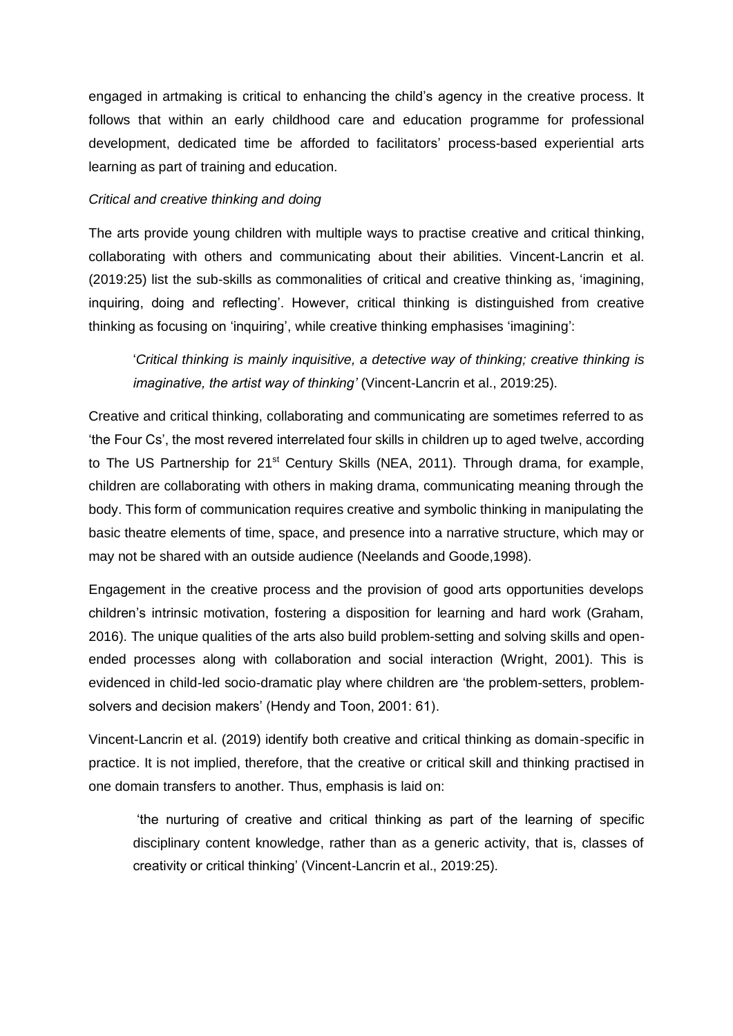engaged in artmaking is critical to enhancing the child's agency in the creative process. It follows that within an early childhood care and education programme for professional development, dedicated time be afforded to facilitators' process-based experiential arts learning as part of training and education.

#### *Critical and creative thinking and doing*

The arts provide young children with multiple ways to practise creative and critical thinking, collaborating with others and communicating about their abilities. Vincent-Lancrin et al. (2019:25) list the sub-skills as commonalities of critical and creative thinking as, 'imagining, inquiring, doing and reflecting'. However, critical thinking is distinguished from creative thinking as focusing on 'inquiring', while creative thinking emphasises 'imagining':

'*Critical thinking is mainly inquisitive, a detective way of thinking; creative thinking is imaginative, the artist way of thinking'* (Vincent-Lancrin et al., 2019:25).

Creative and critical thinking, collaborating and communicating are sometimes referred to as 'the Four Cs', the most revered interrelated four skills in children up to aged twelve, according to The US Partnership for 21<sup>st</sup> Century Skills (NEA, 2011). Through drama, for example, children are collaborating with others in making drama, communicating meaning through the body. This form of communication requires creative and symbolic thinking in manipulating the basic theatre elements of time, space, and presence into a narrative structure, which may or may not be shared with an outside audience (Neelands and Goode,1998).

Engagement in the creative process and the provision of good arts opportunities develops children's intrinsic motivation, fostering a disposition for learning and hard work (Graham, 2016). The unique qualities of the arts also build problem-setting and solving skills and openended processes along with collaboration and social interaction (Wright, 2001). This is evidenced in child-led socio-dramatic play where children are 'the problem-setters, problemsolvers and decision makers' (Hendy and Toon, 2001: 61).

Vincent-Lancrin et al. (2019) identify both creative and critical thinking as domain-specific in practice. It is not implied, therefore, that the creative or critical skill and thinking practised in one domain transfers to another. Thus, emphasis is laid on:

'the nurturing of creative and critical thinking as part of the learning of specific disciplinary content knowledge, rather than as a generic activity, that is, classes of creativity or critical thinking' (Vincent-Lancrin et al., 2019:25).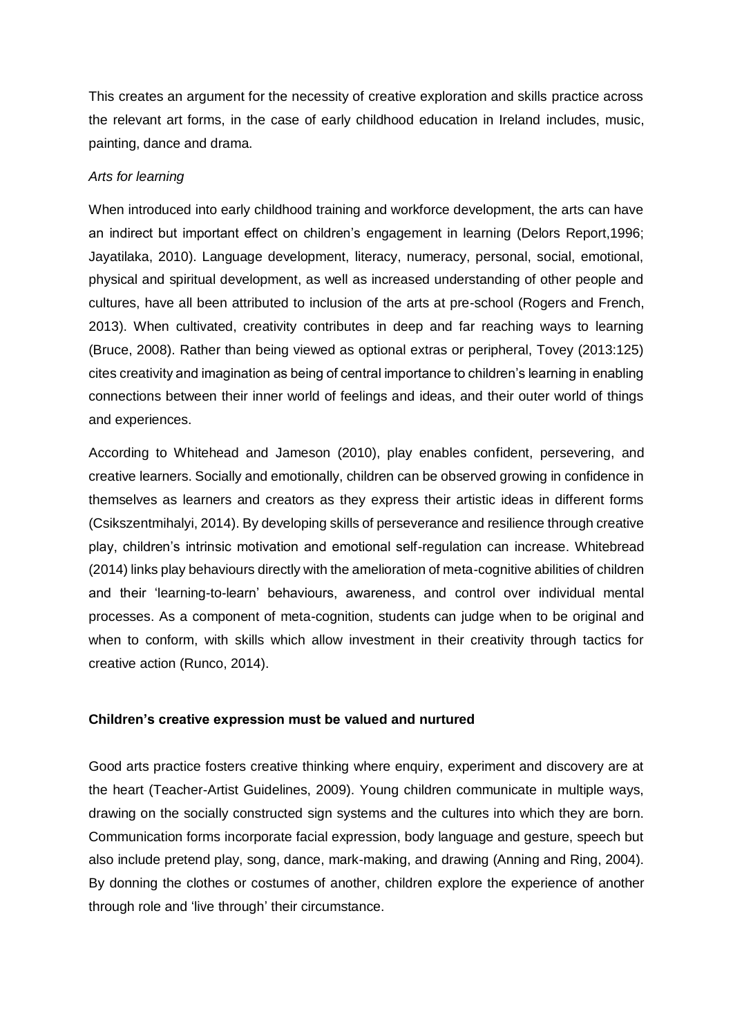This creates an argument for the necessity of creative exploration and skills practice across the relevant art forms, in the case of early childhood education in Ireland includes, music, painting, dance and drama.

## *Arts for learning*

When introduced into early childhood training and workforce development, the arts can have an indirect but important effect on children's engagement in learning (Delors Report,1996; Jayatilaka, 2010). Language development, literacy, numeracy, personal, social, emotional, physical and spiritual development, as well as increased understanding of other people and cultures, have all been attributed to inclusion of the arts at pre-school (Rogers and French, 2013). When cultivated, creativity contributes in deep and far reaching ways to learning (Bruce, 2008). Rather than being viewed as optional extras or peripheral, Tovey (2013:125) cites creativity and imagination as being of central importance to children's learning in enabling connections between their inner world of feelings and ideas, and their outer world of things and experiences.

According to Whitehead and Jameson (2010), play enables confident, persevering, and creative learners. Socially and emotionally, children can be observed growing in confidence in themselves as learners and creators as they express their artistic ideas in different forms (Csikszentmihalyi, 2014). By developing skills of perseverance and resilience through creative play, children's intrinsic motivation and emotional self-regulation can increase. Whitebread (2014) links play behaviours directly with the amelioration of meta-cognitive abilities of children and their 'learning-to-learn' behaviours, awareness, and control over individual mental processes. As a component of meta-cognition, students can judge when to be original and when to conform, with skills which allow investment in their creativity through tactics for creative action (Runco, 2014).

#### **Children's creative expression must be valued and nurtured**

Good arts practice fosters creative thinking where enquiry, experiment and discovery are at the heart (Teacher-Artist Guidelines, 2009). Young children communicate in multiple ways, drawing on the socially constructed sign systems and the cultures into which they are born. Communication forms incorporate facial expression, body language and gesture, speech but also include pretend play, song, dance, mark-making, and drawing (Anning and Ring, 2004). By donning the clothes or costumes of another, children explore the experience of another through role and 'live through' their circumstance.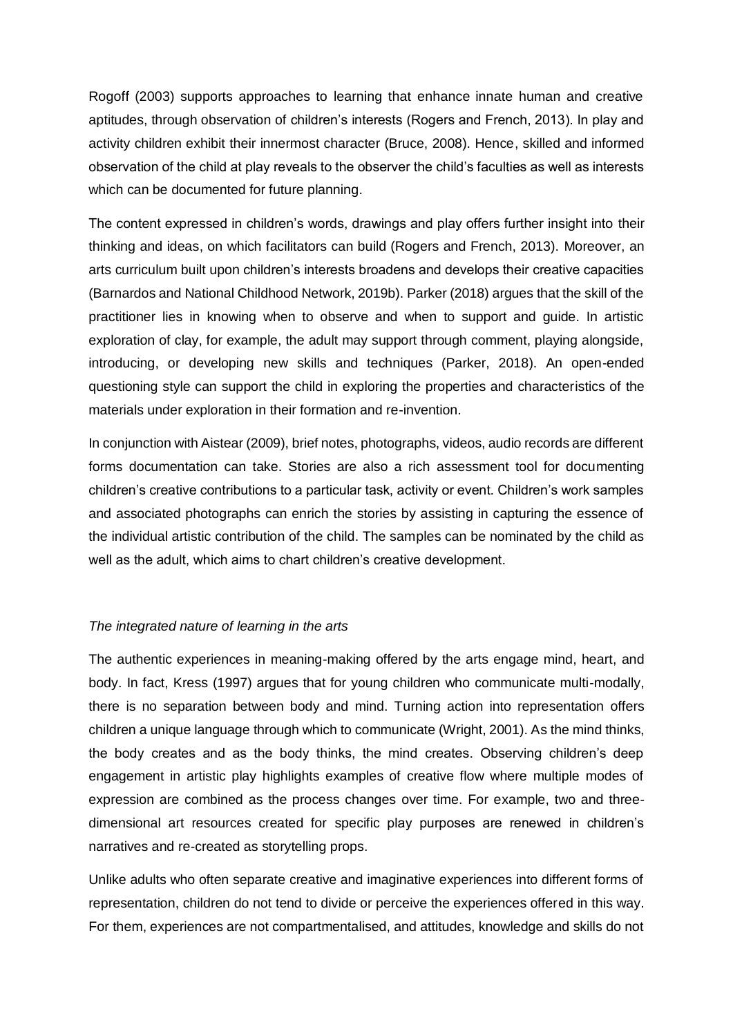Rogoff (2003) supports approaches to learning that enhance innate human and creative aptitudes, through observation of children's interests (Rogers and French, 2013). In play and activity children exhibit their innermost character (Bruce, 2008). Hence, skilled and informed observation of the child at play reveals to the observer the child's faculties as well as interests which can be documented for future planning.

The content expressed in children's words, drawings and play offers further insight into their thinking and ideas, on which facilitators can build (Rogers and French, 2013). Moreover, an arts curriculum built upon children's interests broadens and develops their creative capacities (Barnardos and National Childhood Network, 2019b). Parker (2018) argues that the skill of the practitioner lies in knowing when to observe and when to support and guide. In artistic exploration of clay, for example, the adult may support through comment, playing alongside, introducing, or developing new skills and techniques (Parker, 2018). An open-ended questioning style can support the child in exploring the properties and characteristics of the materials under exploration in their formation and re-invention.

In conjunction with Aistear (2009), brief notes, photographs, videos, audio records are different forms documentation can take. Stories are also a rich assessment tool for documenting children's creative contributions to a particular task, activity or event. Children's work samples and associated photographs can enrich the stories by assisting in capturing the essence of the individual artistic contribution of the child. The samples can be nominated by the child as well as the adult, which aims to chart children's creative development.

## *The integrated nature of learning in the arts*

The authentic experiences in meaning-making offered by the arts engage mind, heart, and body. In fact, Kress (1997) argues that for young children who communicate multi-modally, there is no separation between body and mind. Turning action into representation offers children a unique language through which to communicate (Wright, 2001). As the mind thinks, the body creates and as the body thinks, the mind creates. Observing children's deep engagement in artistic play highlights examples of creative flow where multiple modes of expression are combined as the process changes over time. For example, two and threedimensional art resources created for specific play purposes are renewed in children's narratives and re-created as storytelling props.

Unlike adults who often separate creative and imaginative experiences into different forms of representation, children do not tend to divide or perceive the experiences offered in this way. For them, experiences are not compartmentalised, and attitudes, knowledge and skills do not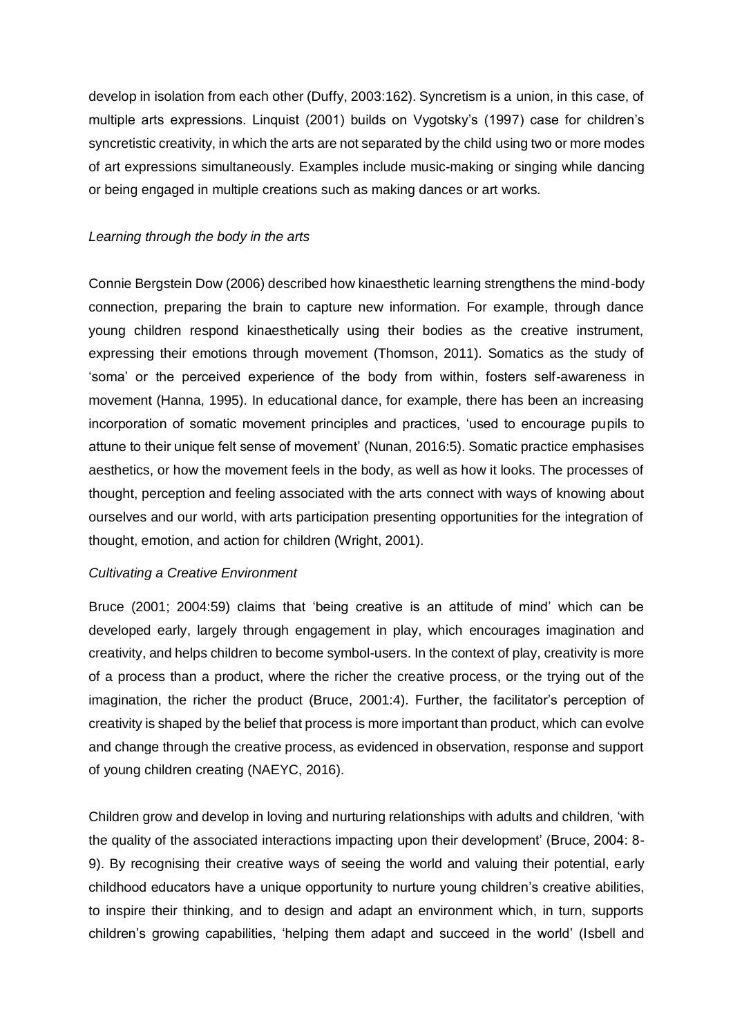develop in isolation from each other (Duffy, 2003:162). Syncretism is a union, in this case, of multiple arts expressions. Linquist (2001) builds on Vygotsky's (1997) case for children's syncretistic creativity, in which the arts are not separated by the child using two or more modes of art expressions simultaneously. Examples include music-making or singing while dancing or being engaged in multiple creations such as making dances or art works.

#### *Learning through the body in the arts*

Connie Bergstein Dow (2006) described how kinaesthetic learning strengthens the mind-body connection, preparing the brain to capture new information. For example, through dance young children respond kinaesthetically using their bodies as the creative instrument, expressing their emotions through movement (Thomson, 2011). Somatics as the study of 'soma' or the perceived experience of the body from within, fosters self-awareness in movement (Hanna, 1995). In educational dance, for example, there has been an increasing incorporation of somatic movement principles and practices, 'used to encourage pupils to attune to their unique felt sense of movement' (Nunan, 2016:5). Somatic practice emphasises aesthetics, or how the movement feels in the body, as well as how it looks. The processes of thought, perception and feeling associated with the arts connect with ways of knowing about ourselves and our world, with arts participation presenting opportunities for the integration of thought, emotion, and action for children (Wright, 2001).

## *Cultivating a Creative Environment*

Bruce (2001; 2004:59) claims that 'being creative is an attitude of mind' which can be developed early, largely through engagement in play, which encourages imagination and creativity, and helps children to become symbol-users. In the context of play, creativity is more of a process than a product, where the richer the creative process, or the trying out of the imagination, the richer the product (Bruce, 2001:4). Further, the facilitator's perception of creativity is shaped by the belief that process is more important than product, which can evolve and change through the creative process, as evidenced in observation, response and support of young children creating (NAEYC, 2016).

Children grow and develop in loving and nurturing relationships with adults and children, 'with the quality of the associated interactions impacting upon their development' (Bruce, 2004: 8- 9). By recognising their creative ways of seeing the world and valuing their potential, early childhood educators have a unique opportunity to nurture young children's creative abilities, to inspire their thinking, and to design and adapt an environment which, in turn, supports children's growing capabilities, 'helping them adapt and succeed in the world' (Isbell and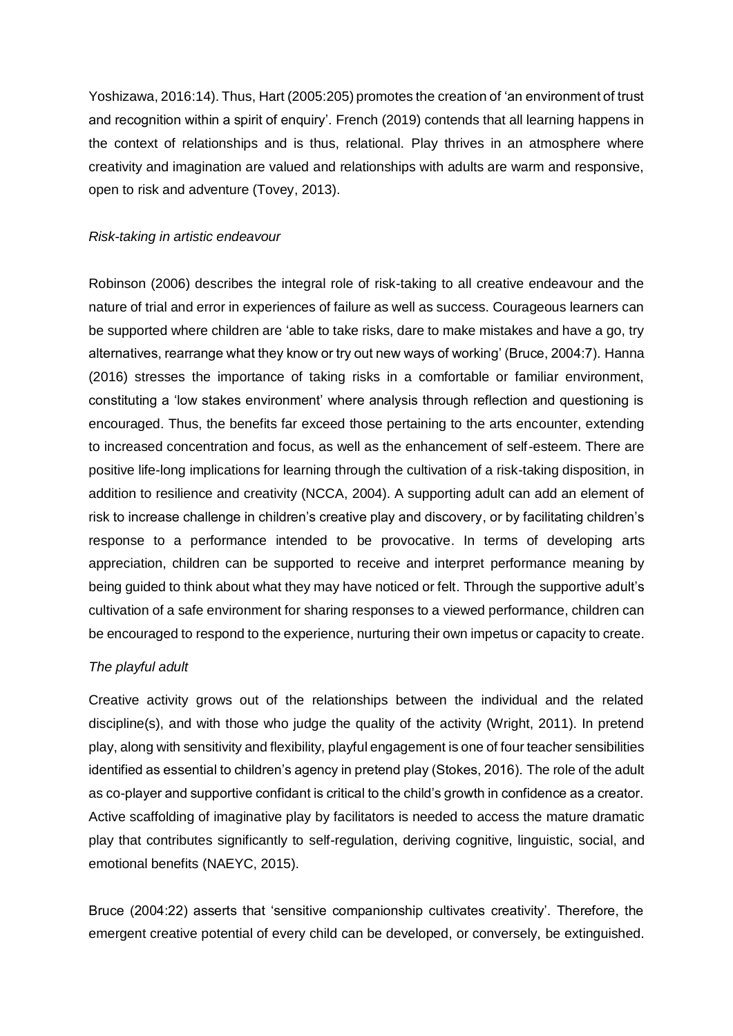Yoshizawa, 2016:14). Thus, Hart (2005:205) promotes the creation of 'an environment of trust and recognition within a spirit of enquiry'. French (2019) contends that all learning happens in the context of relationships and is thus, relational. Play thrives in an atmosphere where creativity and imagination are valued and relationships with adults are warm and responsive, open to risk and adventure (Tovey, 2013).

#### *Risk-taking in artistic endeavour*

Robinson (2006) describes the integral role of risk-taking to all creative endeavour and the nature of trial and error in experiences of failure as well as success. Courageous learners can be supported where children are 'able to take risks, dare to make mistakes and have a go, try alternatives, rearrange what they know or try out new ways of working' (Bruce, 2004:7). Hanna (2016) stresses the importance of taking risks in a comfortable or familiar environment, constituting a 'low stakes environment' where analysis through reflection and questioning is encouraged. Thus, the benefits far exceed those pertaining to the arts encounter, extending to increased concentration and focus, as well as the enhancement of self-esteem. There are positive life-long implications for learning through the cultivation of a risk-taking disposition, in addition to resilience and creativity (NCCA, 2004). A supporting adult can add an element of risk to increase challenge in children's creative play and discovery, or by facilitating children's response to a performance intended to be provocative. In terms of developing arts appreciation, children can be supported to receive and interpret performance meaning by being guided to think about what they may have noticed or felt. Through the supportive adult's cultivation of a safe environment for sharing responses to a viewed performance, children can be encouraged to respond to the experience, nurturing their own impetus or capacity to create.

#### *The playful adult*

Creative activity grows out of the relationships between the individual and the related discipline(s), and with those who judge the quality of the activity (Wright, 2011). In pretend play, along with sensitivity and flexibility, playful engagement is one of four teacher sensibilities identified as essential to children's agency in pretend play (Stokes, 2016). The role of the adult as co-player and supportive confidant is critical to the child's growth in confidence as a creator. Active scaffolding of imaginative play by facilitators is needed to access the mature dramatic play that contributes significantly to self-regulation, deriving cognitive, linguistic, social, and emotional benefits (NAEYC, 2015).

Bruce (2004:22) asserts that 'sensitive companionship cultivates creativity'. Therefore, the emergent creative potential of every child can be developed, or conversely, be extinguished.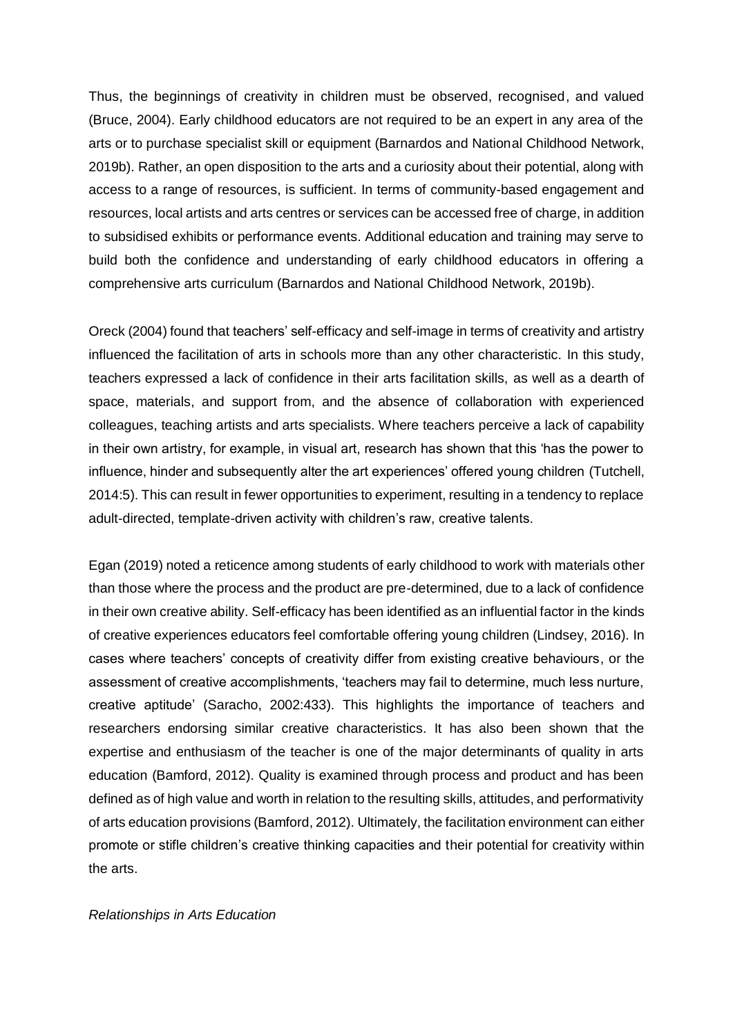Thus, the beginnings of creativity in children must be observed, recognised, and valued (Bruce, 2004). Early childhood educators are not required to be an expert in any area of the arts or to purchase specialist skill or equipment (Barnardos and National Childhood Network, 2019b). Rather, an open disposition to the arts and a curiosity about their potential, along with access to a range of resources, is sufficient. In terms of community-based engagement and resources, local artists and arts centres or services can be accessed free of charge, in addition to subsidised exhibits or performance events. Additional education and training may serve to build both the confidence and understanding of early childhood educators in offering a comprehensive arts curriculum (Barnardos and National Childhood Network, 2019b).

Oreck (2004) found that teachers' self-efficacy and self-image in terms of creativity and artistry influenced the facilitation of arts in schools more than any other characteristic. In this study, teachers expressed a lack of confidence in their arts facilitation skills, as well as a dearth of space, materials, and support from, and the absence of collaboration with experienced colleagues, teaching artists and arts specialists. Where teachers perceive a lack of capability in their own artistry, for example, in visual art, research has shown that this 'has the power to influence, hinder and subsequently alter the art experiences' offered young children (Tutchell, 2014:5). This can result in fewer opportunities to experiment, resulting in a tendency to replace adult-directed, template-driven activity with children's raw, creative talents.

Egan (2019) noted a reticence among students of early childhood to work with materials other than those where the process and the product are pre-determined, due to a lack of confidence in their own creative ability. Self-efficacy has been identified as an influential factor in the kinds of creative experiences educators feel comfortable offering young children (Lindsey, 2016). In cases where teachers' concepts of creativity differ from existing creative behaviours, or the assessment of creative accomplishments, 'teachers may fail to determine, much less nurture, creative aptitude' (Saracho, 2002:433). This highlights the importance of teachers and researchers endorsing similar creative characteristics. It has also been shown that the expertise and enthusiasm of the teacher is one of the major determinants of quality in arts education (Bamford, 2012). Quality is examined through process and product and has been defined as of high value and worth in relation to the resulting skills, attitudes, and performativity of arts education provisions (Bamford, 2012). Ultimately, the facilitation environment can either promote or stifle children's creative thinking capacities and their potential for creativity within the arts.

#### *Relationships in Arts Education*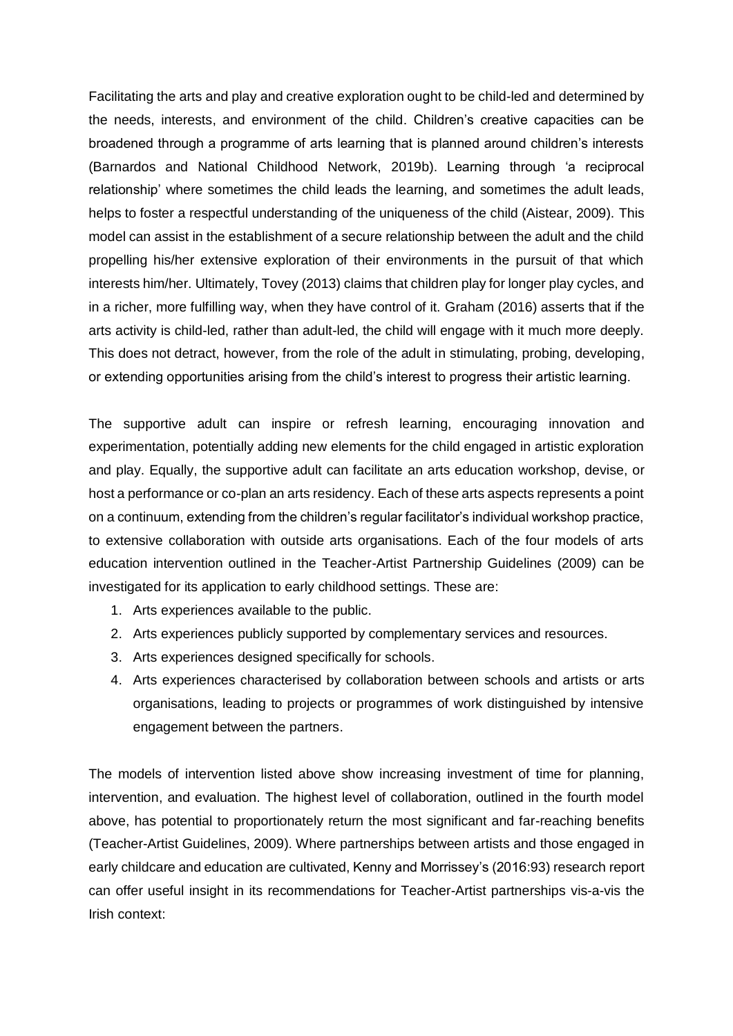Facilitating the arts and play and creative exploration ought to be child-led and determined by the needs, interests, and environment of the child. Children's creative capacities can be broadened through a programme of arts learning that is planned around children's interests (Barnardos and National Childhood Network, 2019b). Learning through 'a reciprocal relationship' where sometimes the child leads the learning, and sometimes the adult leads, helps to foster a respectful understanding of the uniqueness of the child (Aistear, 2009). This model can assist in the establishment of a secure relationship between the adult and the child propelling his/her extensive exploration of their environments in the pursuit of that which interests him/her. Ultimately, Tovey (2013) claims that children play for longer play cycles, and in a richer, more fulfilling way, when they have control of it. Graham (2016) asserts that if the arts activity is child-led, rather than adult-led, the child will engage with it much more deeply. This does not detract, however, from the role of the adult in stimulating, probing, developing, or extending opportunities arising from the child's interest to progress their artistic learning.

The supportive adult can inspire or refresh learning, encouraging innovation and experimentation, potentially adding new elements for the child engaged in artistic exploration and play. Equally, the supportive adult can facilitate an arts education workshop, devise, or host a performance or co-plan an arts residency. Each of these arts aspects represents a point on a continuum, extending from the children's regular facilitator's individual workshop practice, to extensive collaboration with outside arts organisations. Each of the four models of arts education intervention outlined in the Teacher-Artist Partnership Guidelines (2009) can be investigated for its application to early childhood settings. These are:

- 1. Arts experiences available to the public.
- 2. Arts experiences publicly supported by complementary services and resources.
- 3. Arts experiences designed specifically for schools.
- 4. Arts experiences characterised by collaboration between schools and artists or arts organisations, leading to projects or programmes of work distinguished by intensive engagement between the partners.

The models of intervention listed above show increasing investment of time for planning, intervention, and evaluation. The highest level of collaboration, outlined in the fourth model above, has potential to proportionately return the most significant and far-reaching benefits (Teacher-Artist Guidelines, 2009). Where partnerships between artists and those engaged in early childcare and education are cultivated, Kenny and Morrissey's (2016:93) research report can offer useful insight in its recommendations for Teacher-Artist partnerships vis-a-vis the Irish context: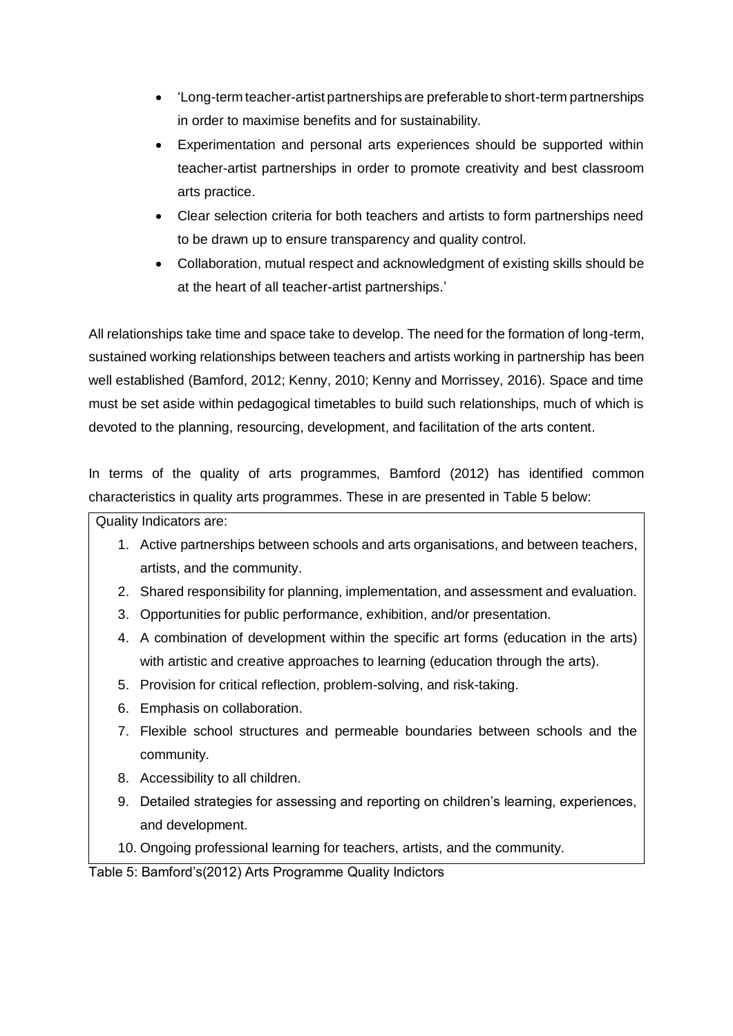- 'Long-term teacher-artist partnerships are preferable to short-term partnerships in order to maximise benefits and for sustainability.
- Experimentation and personal arts experiences should be supported within teacher-artist partnerships in order to promote creativity and best classroom arts practice.
- Clear selection criteria for both teachers and artists to form partnerships need to be drawn up to ensure transparency and quality control.
- Collaboration, mutual respect and acknowledgment of existing skills should be at the heart of all teacher-artist partnerships.'

All relationships take time and space take to develop. The need for the formation of long-term, sustained working relationships between teachers and artists working in partnership has been well established (Bamford, 2012; Kenny, 2010; Kenny and Morrissey, 2016). Space and time must be set aside within pedagogical timetables to build such relationships, much of which is devoted to the planning, resourcing, development, and facilitation of the arts content.

In terms of the quality of arts programmes, Bamford (2012) has identified common characteristics in quality arts programmes. These in are presented in Table 5 below:

Quality Indicators are:

- 1. Active partnerships between schools and arts organisations, and between teachers, artists, and the community.
- 2. Shared responsibility for planning, implementation, and assessment and evaluation.
- 3. Opportunities for public performance, exhibition, and/or presentation.
- 4. A combination of development within the specific art forms (education in the arts) with artistic and creative approaches to learning (education through the arts).
- 5. Provision for critical reflection, problem-solving, and risk-taking.
- 6. Emphasis on collaboration.
- 7. Flexible school structures and permeable boundaries between schools and the community.
- 8. Accessibility to all children.
- 9. Detailed strategies for assessing and reporting on children's learning, experiences, and development.
- 10. Ongoing professional learning for teachers, artists, and the community.

Table 5: Bamford's(2012) Arts Programme Quality Indictors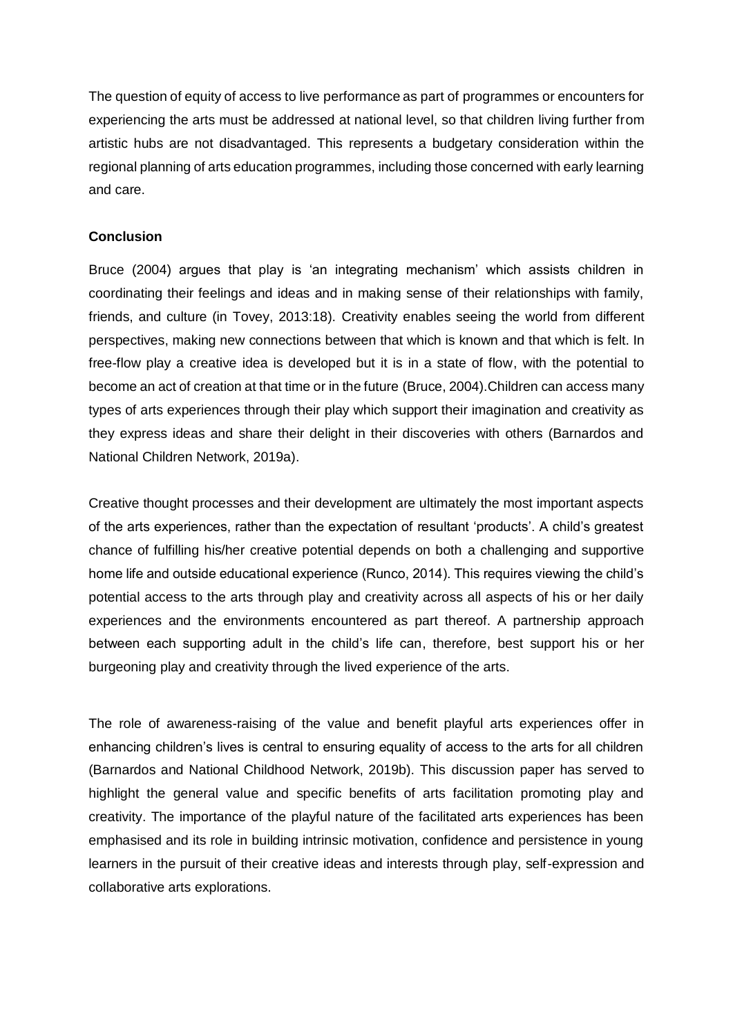The question of equity of access to live performance as part of programmes or encounters for experiencing the arts must be addressed at national level, so that children living further from artistic hubs are not disadvantaged. This represents a budgetary consideration within the regional planning of arts education programmes, including those concerned with early learning and care.

## **Conclusion**

Bruce (2004) argues that play is 'an integrating mechanism' which assists children in coordinating their feelings and ideas and in making sense of their relationships with family, friends, and culture (in Tovey, 2013:18). Creativity enables seeing the world from different perspectives, making new connections between that which is known and that which is felt. In free-flow play a creative idea is developed but it is in a state of flow, with the potential to become an act of creation at that time or in the future (Bruce, 2004).Children can access many types of arts experiences through their play which support their imagination and creativity as they express ideas and share their delight in their discoveries with others (Barnardos and National Children Network, 2019a).

Creative thought processes and their development are ultimately the most important aspects of the arts experiences, rather than the expectation of resultant 'products'. A child's greatest chance of fulfilling his/her creative potential depends on both a challenging and supportive home life and outside educational experience (Runco, 2014). This requires viewing the child's potential access to the arts through play and creativity across all aspects of his or her daily experiences and the environments encountered as part thereof. A partnership approach between each supporting adult in the child's life can, therefore, best support his or her burgeoning play and creativity through the lived experience of the arts.

The role of awareness-raising of the value and benefit playful arts experiences offer in enhancing children's lives is central to ensuring equality of access to the arts for all children (Barnardos and National Childhood Network, 2019b). This discussion paper has served to highlight the general value and specific benefits of arts facilitation promoting play and creativity. The importance of the playful nature of the facilitated arts experiences has been emphasised and its role in building intrinsic motivation, confidence and persistence in young learners in the pursuit of their creative ideas and interests through play, self-expression and collaborative arts explorations.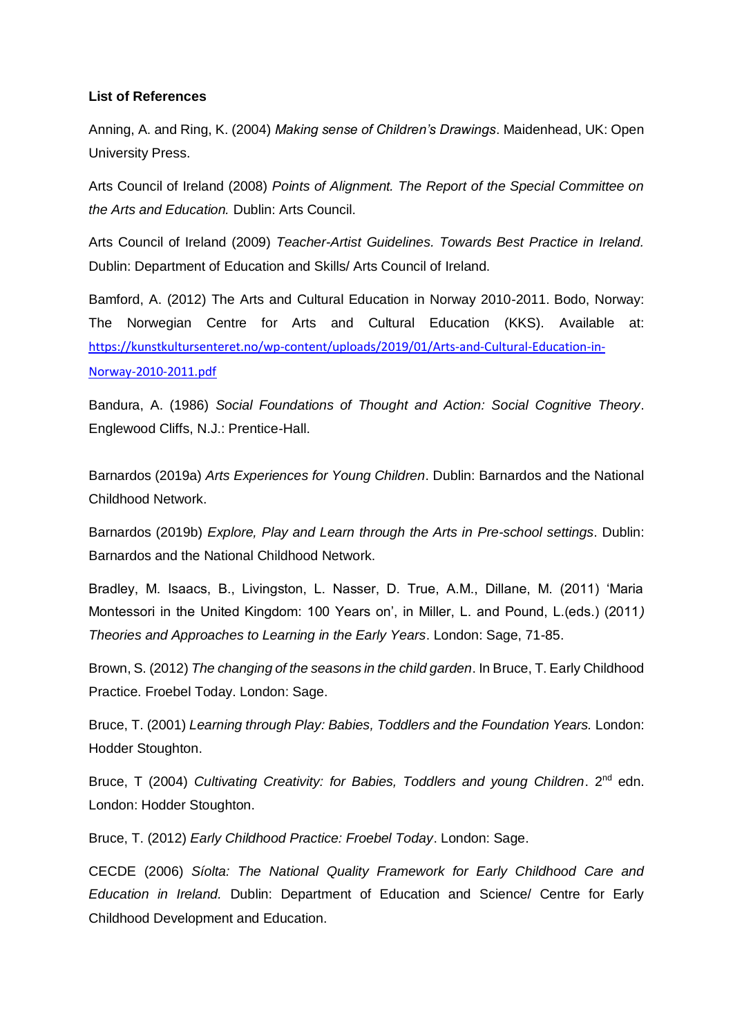#### **List of References**

Anning, A. and Ring, K. (2004) *Making sense of Children's Drawings*. Maidenhead, UK: Open University Press.

Arts Council of Ireland (2008) *Points of Alignment. The Report of the Special Committee on the Arts and Education.* Dublin: Arts Council.

Arts Council of Ireland (2009) *Teacher-Artist Guidelines. Towards Best Practice in Ireland.* Dublin: Department of Education and Skills/ Arts Council of Ireland.

Bamford, A. (2012) The Arts and Cultural Education in Norway 2010-2011. Bodo, Norway: The Norwegian Centre for Arts and Cultural Education (KKS). Available at: [https://kunstkultursenteret.no/wp-content/uploads/2019/01/Arts-and-Cultural-Education-in-](https://kunstkultursenteret.no/wp-content/uploads/2019/01/Arts-and-Cultural-Education-in-Norway-2010-2011.pdf)[Norway-2010-2011.pdf](https://kunstkultursenteret.no/wp-content/uploads/2019/01/Arts-and-Cultural-Education-in-Norway-2010-2011.pdf)

Bandura, A. (1986) *Social Foundations of Thought and Action: Social Cognitive Theory*. Englewood Cliffs, N.J.: Prentice-Hall.

Barnardos (2019a) *Arts Experiences for Young Children*. Dublin: Barnardos and the National Childhood Network.

Barnardos (2019b) *Explore, Play and Learn through the Arts in Pre-school settings*. Dublin: Barnardos and the National Childhood Network.

Bradley, M. Isaacs, B., Livingston, L. Nasser, D. True, A.M., Dillane, M. (2011) 'Maria Montessori in the United Kingdom: 100 Years on', in Miller, L. and Pound, L.(eds.) (2011*) Theories and Approaches to Learning in the Early Years*. London: Sage, 71-85.

Brown, S. (2012) *The changing of the seasons in the child garden*. In Bruce, T. Early Childhood Practice. Froebel Today. London: Sage.

Bruce, T. (2001) *Learning through Play: Babies, Toddlers and the Foundation Years.* London: Hodder Stoughton.

Bruce, T (2004) *Cultivating Creativity: for Babies, Toddlers and young Children*. 2nd edn. London: Hodder Stoughton.

Bruce, T. (2012) *Early Childhood Practice: Froebel Today*. London: Sage.

CECDE (2006) *Síolta: The National Quality Framework for Early Childhood Care and Education in Ireland.* Dublin: Department of Education and Science/ Centre for Early Childhood Development and Education.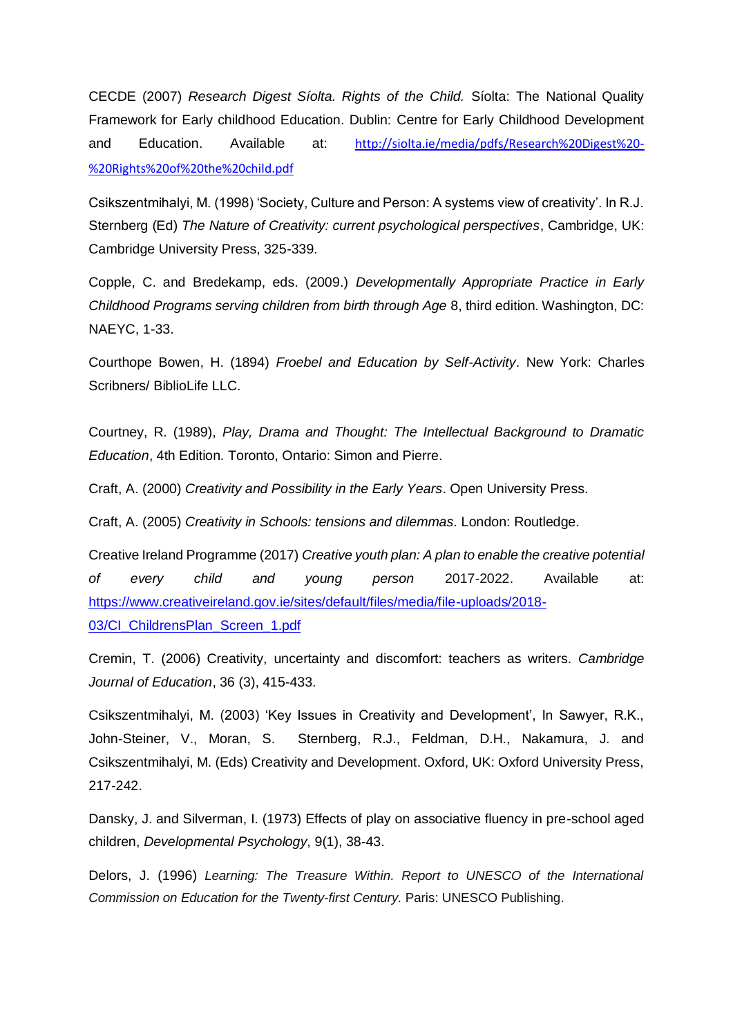CECDE (2007) *Research Digest Síolta. Rights of the Child.* Síolta: The National Quality Framework for Early childhood Education. Dublin: Centre for Early Childhood Development and Education. Available at: [http://siolta.ie/media/pdfs/Research%20Digest%20-](http://siolta.ie/media/pdfs/Research%20Digest%20-%20Rights%20of%20the%20child.pdf) [%20Rights%20of%20the%20child.pdf](http://siolta.ie/media/pdfs/Research%20Digest%20-%20Rights%20of%20the%20child.pdf)

Csikszentmihalyi, M. (1998) 'Society, Culture and Person: A systems view of creativity'. In R.J. Sternberg (Ed) *The Nature of Creativity: current psychological perspectives*, Cambridge, UK: Cambridge University Press, 325-339.

Copple, C. and Bredekamp, eds. (2009.) *Developmentally Appropriate Practice in Early Childhood Programs serving children from birth through Age* 8, third edition. Washington, DC: NAEYC, 1-33.

Courthope Bowen, H. (1894) *Froebel and Education by Self-Activity*. New York: Charles Scribners/ BiblioLife LLC.

Courtney, R. (1989), *Play, Drama and Thought: The Intellectual Background to Dramatic Education*, 4th Edition*.* Toronto, Ontario: Simon and Pierre.

Craft, A. (2000) *Creativity and Possibility in the Early Years*. Open University Press.

Craft, A. (2005) *Creativity in Schools: tensions and dilemmas.* London: Routledge.

Creative Ireland Programme (2017) *Creative youth plan: A plan to enable the creative potential of every child and young person* 2017-2022. Available at: [https://www.creativeireland.gov.ie/sites/default/files/media/file-uploads/2018-](https://www.creativeireland.gov.ie/sites/default/files/media/file-uploads/2018-03/CI_ChildrensPlan_Screen_1.pdf) 03/CI ChildrensPlan Screen 1.pdf

Cremin, T. (2006) Creativity, uncertainty and discomfort: teachers as writers. *Cambridge Journal of Education*, 36 (3), 415-433.

Csikszentmihalyi, M. (2003) 'Key Issues in Creativity and Development', In Sawyer, R.K., John-Steiner, V., Moran, S. Sternberg, R.J., Feldman, D.H., Nakamura, J. and Csikszentmihalyi, M. (Eds) Creativity and Development. Oxford, UK: Oxford University Press, 217-242.

Dansky, J. and Silverman, I. (1973) Effects of play on associative fluency in pre-school aged children, *Developmental Psychology*, 9(1), 38-43.

Delors, J. (1996) *Learning: The Treasure Within. Report to UNESCO of the International Commission on Education for the Twenty-first Century.* Paris: UNESCO Publishing.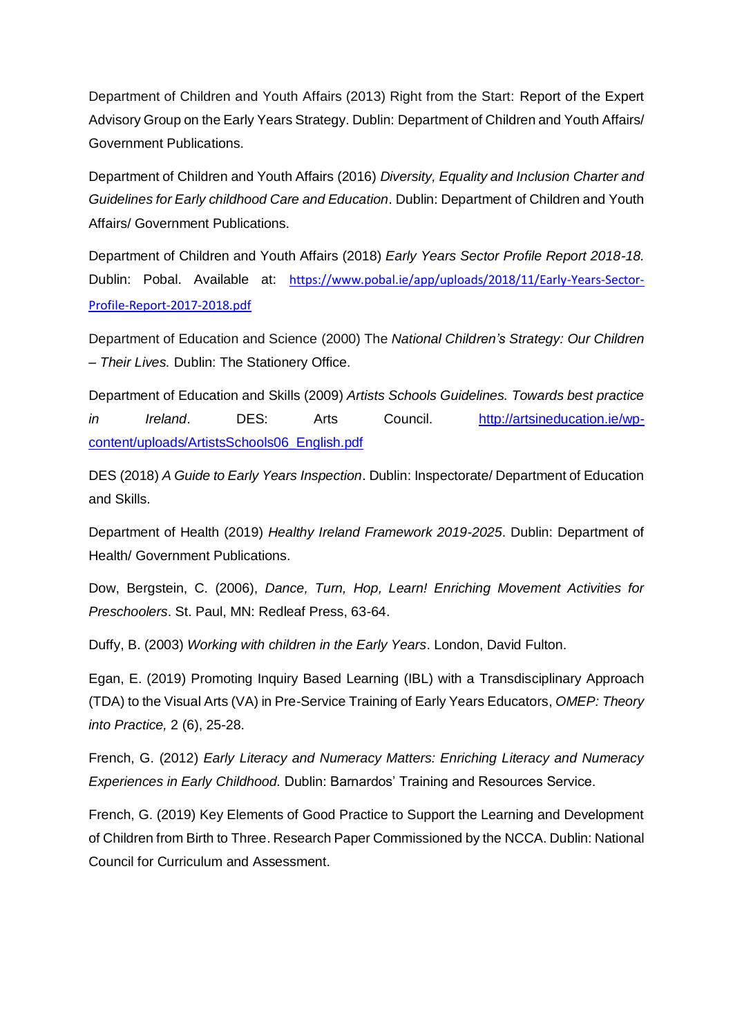Department of Children and Youth Affairs (2013) Right from the Start: Report of the Expert Advisory Group on the Early Years Strategy. Dublin: Department of Children and Youth Affairs/ Government Publications.

Department of Children and Youth Affairs (2016) *Diversity, Equality and Inclusion Charter and Guidelines for Early childhood Care and Education*. Dublin: Department of Children and Youth Affairs/ Government Publications.

Department of Children and Youth Affairs (2018) *Early Years Sector Profile Report 2018-18.*  Dublin: Pobal. Available at: [https://www.pobal.ie/app/uploads/2018/11/Early-Years-Sector-](https://www.pobal.ie/app/uploads/2018/11/Early-Years-Sector-Profile-Report-2017-2018.pdf)[Profile-Report-2017-2018.pdf](https://www.pobal.ie/app/uploads/2018/11/Early-Years-Sector-Profile-Report-2017-2018.pdf)

Department of Education and Science (2000) The *National Children's Strategy: Our Children – Their Lives.* Dublin: The Stationery Office.

Department of Education and Skills (2009) *Artists Schools Guidelines. Towards best practice in Ireland*. DES: Arts Council. [http://artsineducation.ie/wp](http://artsineducation.ie/wp-content/uploads/ArtistsSchools06_English.pdf)[content/uploads/ArtistsSchools06\\_English.pdf](http://artsineducation.ie/wp-content/uploads/ArtistsSchools06_English.pdf)

DES (2018) *A Guide to Early Years Inspection*. Dublin: Inspectorate/ Department of Education and Skills.

Department of Health (2019) *Healthy Ireland Framework 2019-2025*. Dublin: Department of Health/ Government Publications.

Dow, Bergstein, C. (2006), *Dance, Turn, Hop, Learn! Enriching Movement Activities for Preschoolers*. St. Paul, MN: Redleaf Press, 63-64.

Duffy, B. (2003) *Working with children in the Early Years*. London, David Fulton.

Egan, E. (2019) Promoting Inquiry Based Learning (IBL) with a Transdisciplinary Approach (TDA) to the Visual Arts (VA) in Pre-Service Training of Early Years Educators, *OMEP: Theory into Practice,* 2 (6), 25-28.

French, G. (2012) *Early Literacy and Numeracy Matters: Enriching Literacy and Numeracy Experiences in Early Childhood.* Dublin: Barnardos' Training and Resources Service.

French, G. (2019) Key Elements of Good Practice to Support the Learning and Development of Children from Birth to Three. Research Paper Commissioned by the NCCA. Dublin: National Council for Curriculum and Assessment.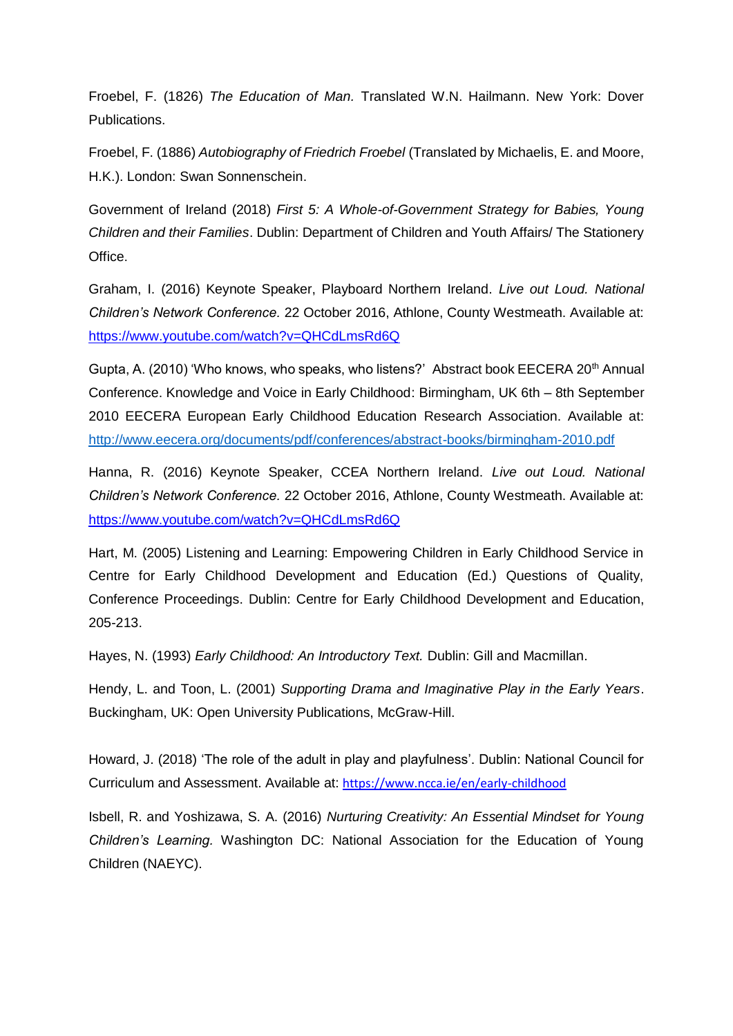Froebel, F. (1826) *The Education of Man.* Translated W.N. Hailmann. New York: Dover Publications.

Froebel, F. (1886) *Autobiography of Friedrich Froebel* (Translated by Michaelis, E. and Moore, H.K.). London: Swan Sonnenschein.

Government of Ireland (2018) *First 5: A Whole-of-Government Strategy for Babies, Young Children and their Families*. Dublin: Department of Children and Youth Affairs/ The Stationery Office.

Graham, I. (2016) Keynote Speaker, Playboard Northern Ireland. *Live out Loud. National Children's Network Conference.* 22 October 2016, Athlone, County Westmeath. Available at: <https://www.youtube.com/watch?v=QHCdLmsRd6Q>

Gupta, A. (2010) 'Who knows, who speaks, who listens?' Abstract book EECERA 20<sup>th</sup> Annual Conference. Knowledge and Voice in Early Childhood: Birmingham, UK 6th – 8th September 2010 EECERA European Early Childhood Education Research Association. Available at: <http://www.eecera.org/documents/pdf/conferences/abstract-books/birmingham-2010.pdf>

Hanna, R. (2016) Keynote Speaker, CCEA Northern Ireland. *Live out Loud. National Children's Network Conference.* 22 October 2016, Athlone, County Westmeath. Available at: <https://www.youtube.com/watch?v=QHCdLmsRd6Q>

Hart, M. (2005) Listening and Learning: Empowering Children in Early Childhood Service in Centre for Early Childhood Development and Education (Ed.) Questions of Quality, Conference Proceedings. Dublin: Centre for Early Childhood Development and Education, 205-213.

Hayes, N. (1993) *Early Childhood: An Introductory Text.* Dublin: Gill and Macmillan.

Hendy, L. and Toon, L. (2001) *Supporting Drama and Imaginative Play in the Early Years*. Buckingham, UK: Open University Publications, McGraw-Hill.

Howard, J. (2018) 'The role of the adult in play and playfulness'. Dublin: National Council for Curriculum and Assessment. Available at: <https://www.ncca.ie/en/early-childhood>

Isbell, R. and Yoshizawa, S. A. (2016) *Nurturing Creativity: An Essential Mindset for Young Children's Learning.* Washington DC: National Association for the Education of Young Children (NAEYC).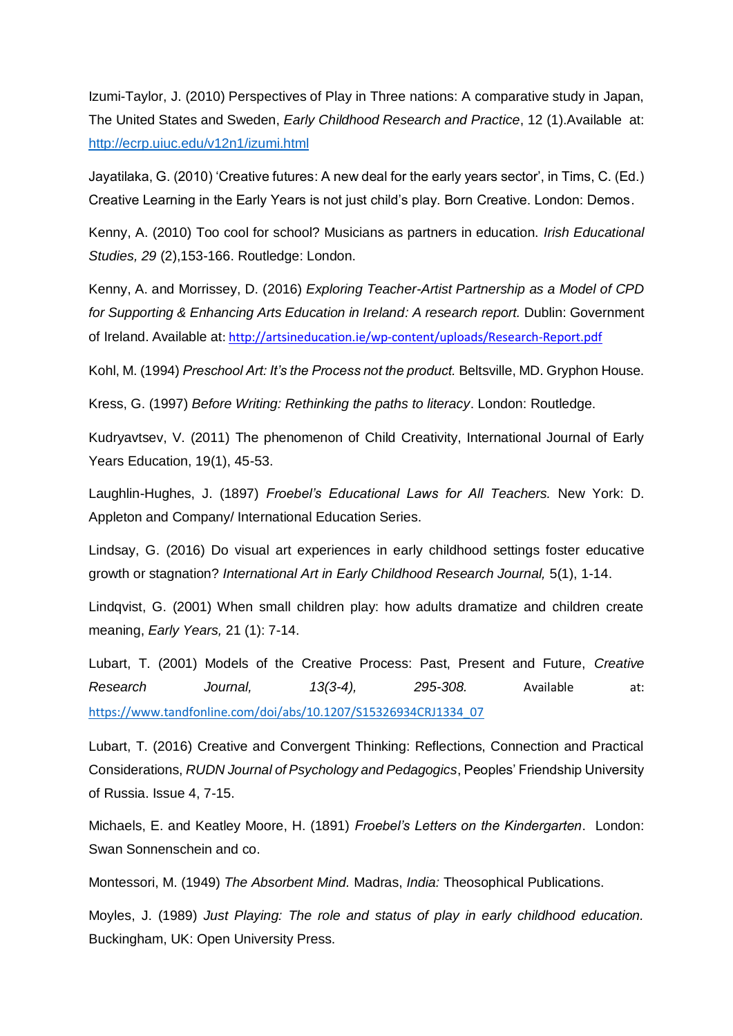Izumi-Taylor, J. (2010) Perspectives of Play in Three nations: A comparative study in Japan, The United States and Sweden, *Early Childhood Research and Practice*, 12 (1).Available at: <http://ecrp.uiuc.edu/v12n1/izumi.html>

Jayatilaka, G. (2010) 'Creative futures: A new deal for the early years sector', in Tims, C. (Ed.) Creative Learning in the Early Years is not just child's play. Born Creative. London: Demos.

Kenny, A. (2010) Too cool for school? Musicians as partners in education. *Irish Educational Studies, 29* (2),153-166. Routledge: London.

Kenny, A. and Morrissey, D. (2016) *Exploring Teacher-Artist Partnership as a Model of CPD for Supporting & Enhancing Arts Education in Ireland: A research report.* Dublin: Government of Ireland. Available at[: http://artsineducation.ie/wp-content/uploads/Research-Report.pdf](http://artsineducation.ie/wp-content/uploads/Research-Report.pdf)

Kohl, M. (1994) *Preschool Art: It's the Process not the product.* Beltsville, MD. Gryphon House.

Kress, G. (1997) *Before Writing: Rethinking the paths to literacy*. London: Routledge.

Kudryavtsev, V. (2011) The phenomenon of Child Creativity, International Journal of Early Years Education, 19(1), 45-53.

Laughlin-Hughes, J. (1897) *Froebel's Educational Laws for All Teachers.* New York: D. Appleton and Company/ International Education Series.

Lindsay, G. (2016) Do visual art experiences in early childhood settings foster educative growth or stagnation? *International Art in Early Childhood Research Journal,* 5(1), 1-14.

Lindqvist, G. (2001) When small children play: how adults dramatize and children create meaning, *Early Years,* 21 (1): 7-14.

Lubart, T. (2001) Models of the Creative Process: Past, Present and Future, *Creative Research Journal, 13(3-4), 295-308.* Available at: [https://www.tandfonline.com/doi/abs/10.1207/S15326934CRJ1334\\_07](https://www.tandfonline.com/doi/abs/10.1207/S15326934CRJ1334_07)

Lubart, T. (2016) Creative and Convergent Thinking: Reflections, Connection and Practical Considerations, *RUDN Journal of Psychology and Pedagogics*, Peoples' Friendship University of Russia. Issue 4, 7-15.

Michaels, E. and Keatley Moore, H. (1891) *Froebel's Letters on the Kindergarten*. London: Swan Sonnenschein and co.

Montessori, M. (1949) *The Absorbent Mind.* Madras, *India:* Theosophical Publications.

Moyles, J. (1989) *Just Playing: The role and status of play in early childhood education.*  Buckingham, UK: Open University Press.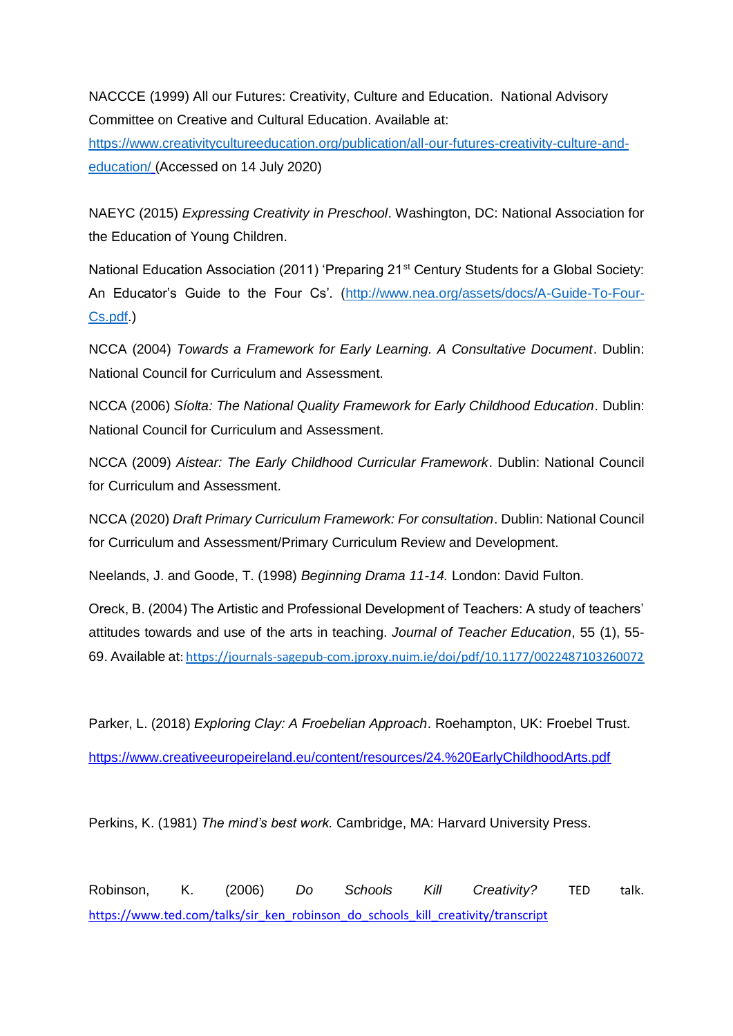NACCCE (1999) All our Futures: Creativity, Culture and Education. National Advisory Committee on Creative and Cultural Education. Available at:

[https://www.creativitycultureeducation.org/publication/all-our-futures-creativity-culture-and](https://www.creativitycultureeducation.org/publication/all-our-futures-creativity-culture-and-education/)[education/](https://www.creativitycultureeducation.org/publication/all-our-futures-creativity-culture-and-education/) (Accessed on 14 July 2020)

NAEYC (2015) *Expressing Creativity in Preschool*. Washington, DC: National Association for the Education of Young Children.

National Education Association (2011) 'Preparing 21<sup>st</sup> Century Students for a Global Society: An Educator's Guide to the Four Cs'. [\(http://www.nea.org/assets/docs/A-Guide-To-Four-](http://www.nea.org/assets/docs/A-Guide-To-Four-Cs.pdf)[Cs.pdf.](http://www.nea.org/assets/docs/A-Guide-To-Four-Cs.pdf))

NCCA (2004) *Towards a Framework for Early Learning. A Consultative Document*. Dublin: National Council for Curriculum and Assessment.

NCCA (2006) *Síolta: The National Quality Framework for Early Childhood Education*. Dublin: National Council for Curriculum and Assessment.

NCCA (2009) *Aistear: The Early Childhood Curricular Framework*. Dublin: National Council for Curriculum and Assessment.

NCCA (2020) *Draft Primary Curriculum Framework: For consultation*. Dublin: National Council for Curriculum and Assessment/Primary Curriculum Review and Development.

Neelands, J. and Goode, T. (1998) *Beginning Drama 11-14.* London: David Fulton.

Oreck, B. (2004) The Artistic and Professional Development of Teachers: A study of teachers' attitudes towards and use of the arts in teaching. *Journal of Teacher Education*, 55 (1), 55- 69. Available at[: https://journals-sagepub-com.jproxy.nuim.ie/doi/pdf/10.1177/0022487103260072](https://journals-sagepub-com.jproxy.nuim.ie/doi/pdf/10.1177/0022487103260072)

Parker, L. (2018) *Exploring Clay: A Froebelian Approach*. Roehampton, UK: Froebel Trust.

<https://www.creativeeuropeireland.eu/content/resources/24.%20EarlyChildhoodArts.pdf>

Perkins, K. (1981) *The mind's best work.* Cambridge, MA: Harvard University Press.

Robinson, K. (2006) *Do Schools Kill Creativity?* TED talk. [https://www.ted.com/talks/sir\\_ken\\_robinson\\_do\\_schools\\_kill\\_creativity/transcript](https://www.ted.com/talks/sir_ken_robinson_do_schools_kill_creativity/transcript)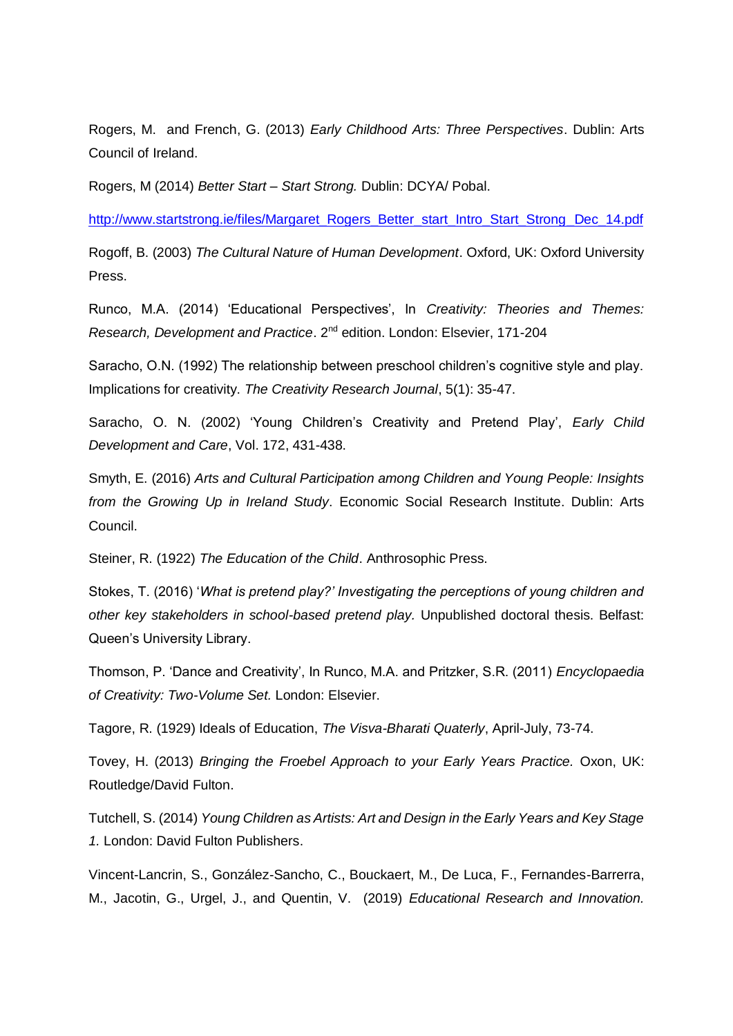Rogers, M. and French, G. (2013) *Early Childhood Arts: Three Perspectives*. Dublin: Arts Council of Ireland.

Rogers, M (2014) *Better Start – Start Strong.* Dublin: DCYA/ Pobal.

[http://www.startstrong.ie/files/Margaret\\_Rogers\\_Better\\_start\\_Intro\\_Start\\_Strong\\_Dec\\_14.pdf](http://www.startstrong.ie/files/Margaret_Rogers_Better_start_Intro_Start_Strong_Dec_14.pdf)

Rogoff, B. (2003) *The Cultural Nature of Human Development*. Oxford, UK: Oxford University Press.

Runco, M.A. (2014) 'Educational Perspectives', In *Creativity: Theories and Themes: Research, Development and Practice.* 2<sup>nd</sup> edition. London: Elsevier, 171-204

Saracho, O.N. (1992) The relationship between preschool children's cognitive style and play. Implications for creativity. *The Creativity Research Journal*, 5(1): 35-47.

Saracho, O. N. (2002) 'Young Children's Creativity and Pretend Play', *Early Child Development and Care*, Vol. 172, 431-438.

Smyth, E. (2016) *Arts and Cultural Participation among Children and Young People: Insights from the Growing Up in Ireland Study*. Economic Social Research Institute. Dublin: Arts Council.

Steiner, R. (1922) *The Education of the Child*. Anthrosophic Press.

Stokes, T. (2016) '*What is pretend play?' Investigating the perceptions of young children and other key stakeholders in school-based pretend play.* Unpublished doctoral thesis. Belfast: Queen's University Library.

Thomson, P. 'Dance and Creativity', In Runco, M.A. and Pritzker, S.R. (2011) *Encyclopaedia of Creativity: Two-Volume Set.* London: Elsevier.

Tagore, R. (1929) Ideals of Education, *The Visva-Bharati Quaterly*, April-July, 73-74.

Tovey, H. (2013) *Bringing the Froebel Approach to your Early Years Practice.* Oxon, UK: Routledge/David Fulton.

Tutchell, S. (2014) *Young Children as Artists: Art and Design in the Early Years and Key Stage 1.* London: David Fulton Publishers.

Vincent-Lancrin, S., González-Sancho, C., Bouckaert, M., De Luca, F., Fernandes-Barrerra, M., Jacotin, G., Urgel, J., and Quentin, V. (2019) *Educational Research and Innovation.*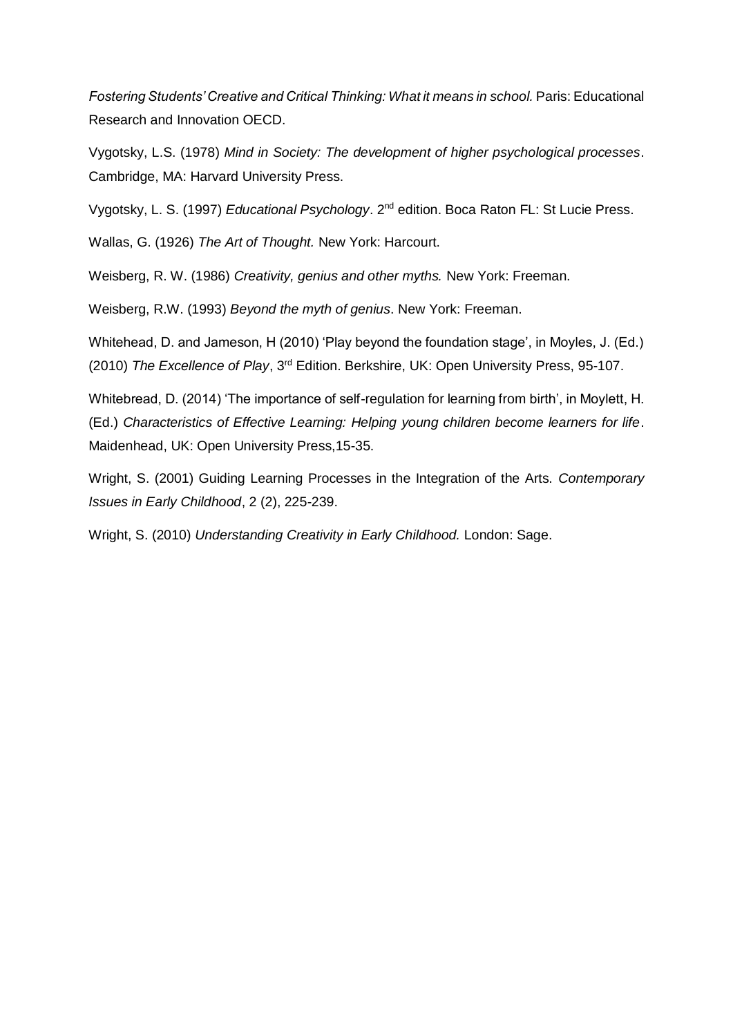*Fostering Students' Creative and Critical Thinking: What it means in school.* Paris: Educational Research and Innovation OECD.

Vygotsky, L.S. (1978) *Mind in Society: The development of higher psychological processes*. Cambridge, MA: Harvard University Press.

Vygotsky, L. S. (1997) Educational Psychology. 2<sup>nd</sup> edition. Boca Raton FL: St Lucie Press.

Wallas, G. (1926) *The Art of Thought.* New York: Harcourt.

Weisberg, R. W. (1986) *Creativity, genius and other myths.* New York: Freeman.

Weisberg, R.W. (1993) *Beyond the myth of genius*. New York: Freeman.

Whitehead, D. and Jameson, H (2010) 'Play beyond the foundation stage', in Moyles, J. (Ed.) (2010) *The Excellence of Play*, 3rd Edition. Berkshire, UK: Open University Press, 95-107.

Whitebread, D. (2014) 'The importance of self-regulation for learning from birth', in Moylett, H. (Ed.) *Characteristics of Effective Learning: Helping young children become learners for life*. Maidenhead, UK: Open University Press,15-35.

Wright, S. (2001) Guiding Learning Processes in the Integration of the Arts. *Contemporary Issues in Early Childhood*, 2 (2), 225-239.

Wright, S. (2010) *Understanding Creativity in Early Childhood.* London: Sage.